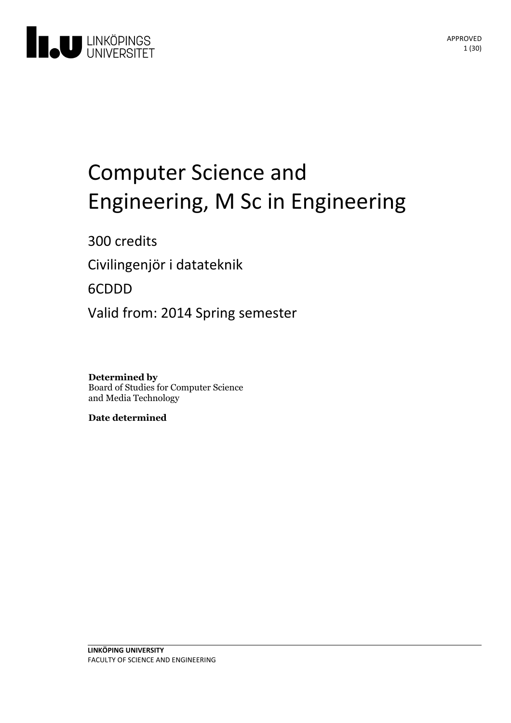

# Computer Science and Engineering, M Sc in Engineering

300 credits

Civilingenjör i datateknik

6CDDD

Valid from: 2014 Spring semester

**Determined by** Board of Studies for Computer Science and Media Technology

**Date determined**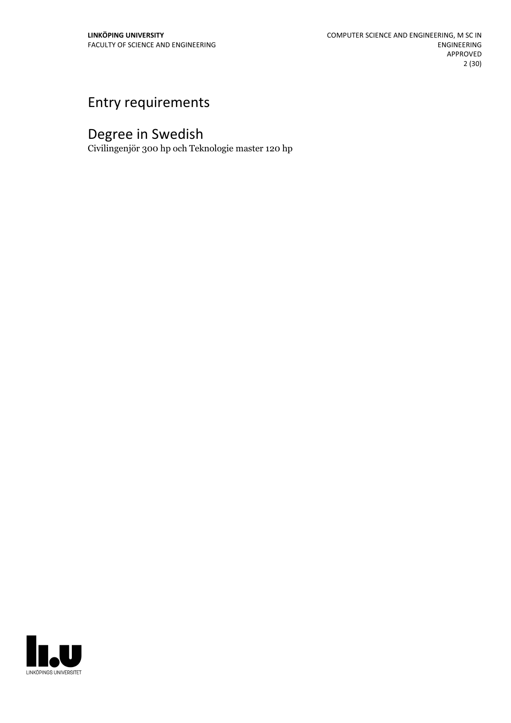# Entry requirements

# Degree in Swedish

Civilingenjör 300 hp och Teknologie master 120 hp

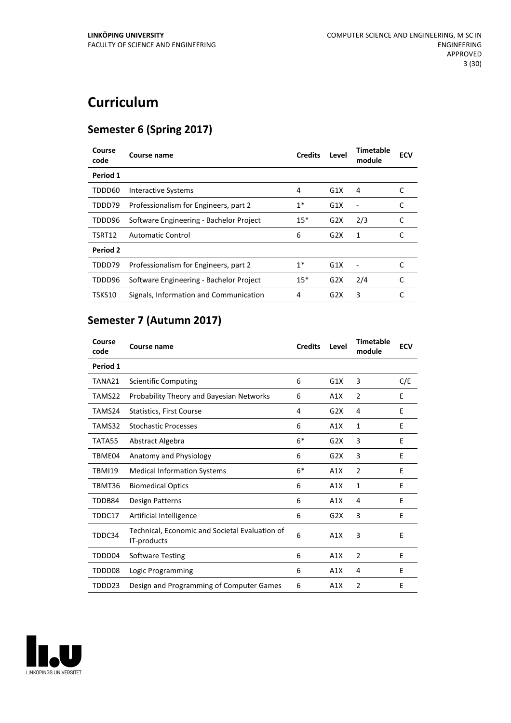# **Curriculum**

# **Semester 6 (Spring 2017)**

| Course<br>code | Course name                             | <b>Credits</b> | Level            | Timetable<br>module | <b>ECV</b> |
|----------------|-----------------------------------------|----------------|------------------|---------------------|------------|
| Period 1       |                                         |                |                  |                     |            |
| TDDD60         | <b>Interactive Systems</b>              | 4              | G1X              | 4                   |            |
| TDDD79         | Professionalism for Engineers, part 2   | $1*$           | G1X              |                     | C          |
| TDDD96         | Software Engineering - Bachelor Project | $15*$          | G2X              | 2/3                 |            |
| TSRT12         | Automatic Control                       | 6              | G2X              | 1                   |            |
| Period 2       |                                         |                |                  |                     |            |
| TDDD79         | Professionalism for Engineers, part 2   | $1*$           | G1X              |                     |            |
| TDDD96         | Software Engineering - Bachelor Project | $15*$          | G2X              | 2/4                 | C          |
| TSKS10         | Signals, Information and Communication  | 4              | G <sub>2</sub> X | 3                   | C          |

# **Semester 7 (Autumn 2017)**

| Course<br>code | <b>Course name</b>                                            | <b>Credits</b> | Level | <b>Timetable</b><br>module | <b>ECV</b> |
|----------------|---------------------------------------------------------------|----------------|-------|----------------------------|------------|
| Period 1       |                                                               |                |       |                            |            |
| TANA21         | <b>Scientific Computing</b>                                   | 6              | G1X   | 3                          | C/E        |
| TAMS22         | <b>Probability Theory and Bayesian Networks</b>               | 6              | A1X   | 2                          | E          |
| TAMS24         | Statistics, First Course                                      | 4              | G2X   | 4                          | E          |
| TAMS32         | <b>Stochastic Processes</b>                                   | 6              | A1X   | 1                          | E          |
| TATA55         | Abstract Algebra                                              | $6*$           | G2X   | 3                          | E          |
| TBME04         | Anatomy and Physiology                                        | 6              | G2X   | 3                          | E          |
| <b>TBMI19</b>  | <b>Medical Information Systems</b>                            | $6*$           | A1X   | $\overline{2}$             | E          |
| TBMT36         | <b>Biomedical Optics</b>                                      | 6              | A1X   | 1                          | Ε          |
| TDDB84         | Design Patterns                                               | 6              | A1X   | 4                          | E          |
| TDDC17         | Artificial Intelligence                                       | 6              | G2X   | 3                          | E          |
| TDDC34         | Technical, Economic and Societal Evaluation of<br>IT-products | 6              | A1X   | 3                          | E          |
| TDDD04         | <b>Software Testing</b>                                       | 6              | A1X   | $\overline{2}$             | E          |
| TDDD08         | Logic Programming                                             | 6              | A1X   | 4                          | E          |
| TDDD23         | Design and Programming of Computer Games                      | 6              | A1X   | $\overline{2}$             | E          |

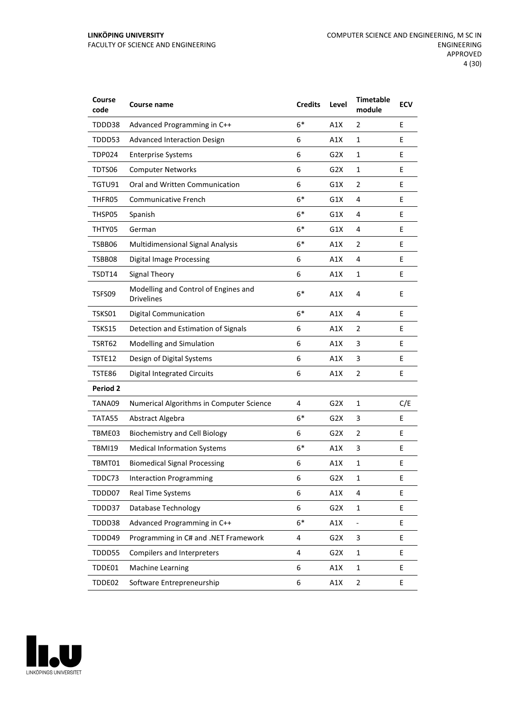#### **LINKÖPING UNIVERSITY** FACULTY OF SCIENCE AND ENGINEERING

| Course<br>code | <b>Course name</b>                                        | <b>Credits</b> | Level            | <b>Timetable</b><br>module | <b>ECV</b> |
|----------------|-----------------------------------------------------------|----------------|------------------|----------------------------|------------|
| TDDD38         | Advanced Programming in C++                               | $6*$           | A1X              | 2                          | E          |
| TDDD53         | <b>Advanced Interaction Design</b>                        | 6              | A1X              | $\mathbf{1}$               | E          |
| <b>TDP024</b>  | <b>Enterprise Systems</b>                                 | 6              | G2X              | 1                          | Е          |
| TDTS06         | <b>Computer Networks</b>                                  | 6              | G2X              | $\mathbf{1}$               | E          |
| TGTU91         | Oral and Written Communication                            | 6              | G1X              | 2                          | E          |
| THFR05         | Communicative French                                      | $6*$           | G1X              | 4                          | E          |
| THSP05         | Spanish                                                   | $6*$           | G1X              | 4                          | Ε          |
| THTY05         | German                                                    | $6*$           | G1X              | 4                          | E          |
| TSBB06         | <b>Multidimensional Signal Analysis</b>                   | $6*$           | A1X              | 2                          | E          |
| TSBB08         | <b>Digital Image Processing</b>                           | 6              | A1X              | 4                          | E          |
| TSDT14         | Signal Theory                                             | 6              | A1X              | 1                          | E          |
| TSFS09         | Modelling and Control of Engines and<br><b>Drivelines</b> | $6*$           | A1X              | 4                          | E          |
| TSKS01         | <b>Digital Communication</b>                              | $6*$           | A1X              | 4                          | E          |
| TSKS15         | Detection and Estimation of Signals                       | 6              | A1X              | 2                          | E          |
| TSRT62         | Modelling and Simulation                                  | 6              | A1X              | 3                          | E          |
| TSTE12         | Design of Digital Systems                                 | 6              | A1X              | 3                          | E          |
| TSTE86         | <b>Digital Integrated Circuits</b>                        | 6              | A1X              | 2                          | E          |
| Period 2       |                                                           |                |                  |                            |            |
| TANA09         | Numerical Algorithms in Computer Science                  | 4              | G <sub>2</sub> X | $\mathbf{1}$               | C/E        |
| TATA55         | Abstract Algebra                                          | $6*$           | G2X              | 3                          | E          |
| TBME03         | <b>Biochemistry and Cell Biology</b>                      | 6              | G <sub>2</sub> X | 2                          | E          |
| <b>TBMI19</b>  | <b>Medical Information Systems</b>                        | $6*$           | A1X              | 3                          | Ε          |
| TBMT01         | <b>Biomedical Signal Processing</b>                       | 6              | A1X              | 1                          | E          |
| TDDC73         | <b>Interaction Programming</b>                            | 6              | G2X              | 1                          | Ε          |
| TDDD07         | <b>Real Time Systems</b>                                  | 6              | A1X              | 4                          | E          |
| TDDD37         | Database Technology                                       | 6              | G2X              | $\mathbf{1}$               | E.         |
| TDDD38         | Advanced Programming in C++                               | $6*$           | A1X              | ÷                          | E          |
| TDDD49         | Programming in C# and .NET Framework                      | 4              | G <sub>2</sub> X | 3                          | E.         |
| TDDD55         | Compilers and Interpreters                                | 4              | G2X              | 1                          | E          |
| TDDE01         | <b>Machine Learning</b>                                   | 6              | A1X              | $\mathbf 1$                | E          |
| TDDE02         | Software Entrepreneurship                                 | 6              | A1X              | $\overline{2}$             | E          |

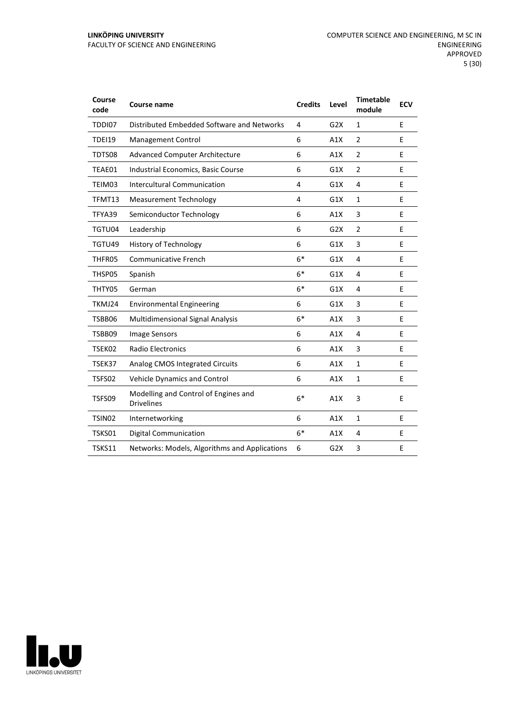| Course<br>code     | <b>Course name</b>                                        | <b>Credits</b> | Level            | <b>Timetable</b><br>module | <b>ECV</b> |
|--------------------|-----------------------------------------------------------|----------------|------------------|----------------------------|------------|
| TDDI07             | Distributed Embedded Software and Networks                | 4              | G2X              | $\mathbf{1}$               | E          |
| <b>TDEI19</b>      | Management Control                                        | 6              | A1X              | $\overline{2}$             | E          |
| TDTS08             | Advanced Computer Architecture                            | 6              | A1X              | $\overline{2}$             | E          |
| TEAE01             | Industrial Economics, Basic Course                        | 6              | G1X              | $\overline{2}$             | E          |
| TEIM03             | <b>Intercultural Communication</b>                        | 4              | G1X              | 4                          | E          |
| TFMT13             | <b>Measurement Technology</b>                             | 4              | G1X              | $\mathbf{1}$               | E          |
| TFYA39             | Semiconductor Technology                                  | 6              | A1X              | 3                          | E          |
| TGTU04             | Leadership                                                | 6              | G2X              | $\overline{2}$             | E          |
| TGTU49             | History of Technology                                     | 6              | G1X              | 3                          | E          |
| THFR05             | <b>Communicative French</b>                               | $6*$           | G1X              | 4                          | E          |
| THSP05             | Spanish                                                   | $6*$           | G1X              | 4                          | E          |
| THTY05             | German                                                    | $6*$           | G1X              | 4                          | E          |
| TKMJ24             | <b>Environmental Engineering</b>                          | 6              | G1X              | 3                          | E          |
| TSBB06             | <b>Multidimensional Signal Analysis</b>                   | $6*$           | A1X              | 3                          | E          |
| TSBB09             | Image Sensors                                             | 6              | A1X              | 4                          | E          |
| TSEK02             | <b>Radio Electronics</b>                                  | 6              | A1X              | 3                          | E          |
| TSEK37             | Analog CMOS Integrated Circuits                           | 6              | A1X              | $\mathbf{1}$               | E          |
| TSFS02             | Vehicle Dynamics and Control                              | 6              | A1X              | $\mathbf{1}$               | E          |
| TSFS09             | Modelling and Control of Engines and<br><b>Drivelines</b> | $6*$           | A1X              | 3                          | E          |
| TSIN <sub>02</sub> | Internetworking                                           | 6              | A1X              | $\mathbf{1}$               | E          |
| TSKS01             | <b>Digital Communication</b>                              | $6*$           | A1X              | 4                          | E          |
| TSKS11             | Networks: Models, Algorithms and Applications             | 6              | G <sub>2</sub> X | 3                          | E          |

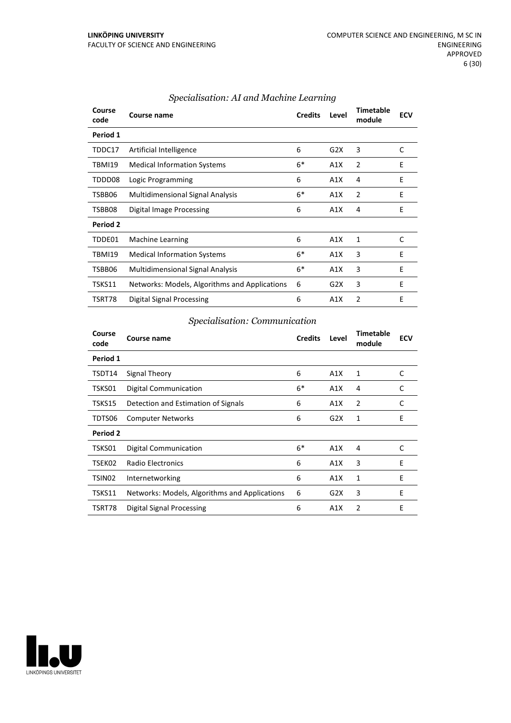| Course<br>code | Course name                                   | <b>Credits</b> | Level | <b>Timetable</b><br>module | <b>ECV</b> |
|----------------|-----------------------------------------------|----------------|-------|----------------------------|------------|
| Period 1       |                                               |                |       |                            |            |
| TDDC17         | Artificial Intelligence                       | 6              | G2X   | 3                          | C          |
| TBMI19         | <b>Medical Information Systems</b>            | $6*$           | A1X   | 2                          | E          |
| TDDD08         | Logic Programming                             | 6              | A1X   | 4                          | E          |
| TSBB06         | <b>Multidimensional Signal Analysis</b>       | $6*$           | A1X   | 2                          | E          |
| TSBB08         | Digital Image Processing                      | 6              | A1X   | 4                          | E          |
| Period 2       |                                               |                |       |                            |            |
| TDDE01         | <b>Machine Learning</b>                       | 6              | A1X   | 1                          | C          |
| TBMI19         | <b>Medical Information Systems</b>            | $6*$           | A1X   | 3                          | E          |
| TSBB06         | <b>Multidimensional Signal Analysis</b>       | $6*$           | A1X   | 3                          | E          |
| TSKS11         | Networks: Models, Algorithms and Applications | 6              | G2X   | 3                          | E          |
| TSRT78         | Digital Signal Processing                     | 6              | A1X   | 2                          | E          |

#### *Specialisation: AI and Machine Learning*

# *Specialisation: Communication*

| Course<br>code     | Course name                                   | <b>Credits</b> | Level | <b>Timetable</b><br>module | <b>ECV</b> |
|--------------------|-----------------------------------------------|----------------|-------|----------------------------|------------|
| Period 1           |                                               |                |       |                            |            |
| TSDT14             | Signal Theory                                 | 6              | A1X   | 1                          | C          |
| TSKS01             | Digital Communication                         | $6*$           | A1X   | 4                          | C          |
| TSKS15             | Detection and Estimation of Signals           | 6              | A1X   | 2                          | C          |
| TDTS06             | <b>Computer Networks</b>                      | 6              | G2X   | 1                          | Ε          |
| Period 2           |                                               |                |       |                            |            |
| TSKS01             | Digital Communication                         | $6*$           | A1X   | 4                          | C          |
| TSEK02             | Radio Electronics                             | 6              | A1X   | 3                          | E          |
| TSIN <sub>02</sub> | Internetworking                               | 6              | A1X   | 1                          | E          |
| TSKS11             | Networks: Models, Algorithms and Applications | 6              | G2X   | 3                          | E          |
| TSRT78             | Digital Signal Processing                     | 6              | A1X   | 2                          | E          |

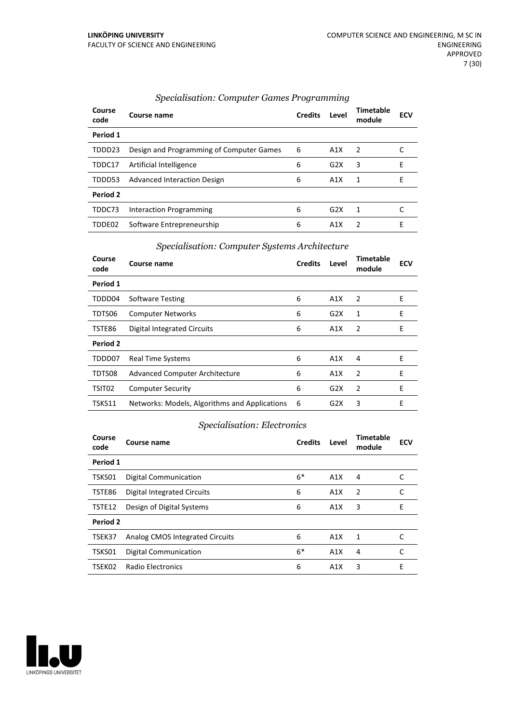| Course<br>code | Course name                              | <b>Credits</b> | Level            | <b>Timetable</b><br>module | ECV |
|----------------|------------------------------------------|----------------|------------------|----------------------------|-----|
| Period 1       |                                          |                |                  |                            |     |
| TDDD23         | Design and Programming of Computer Games | 6              | A1X              | 2                          |     |
| TDDC17         | Artificial Intelligence                  | 6              | G2X              | 3                          | E   |
| TDDD53         | <b>Advanced Interaction Design</b>       | 6              | A1X              | 1                          | F   |
| Period 2       |                                          |                |                  |                            |     |
| TDDC73         | Interaction Programming                  | 6              | G2X              | 1                          |     |
| TDDE02         | Software Entrepreneurship                | 6              | A <sub>1</sub> X | 2                          | F   |

#### *Specialisation: Computer Games Programming*

#### *Specialisation: Computer Systems Architecture*

| Course<br>code     | Course name                                   | <b>Credits</b> | Level | Timetable<br>module | <b>ECV</b> |
|--------------------|-----------------------------------------------|----------------|-------|---------------------|------------|
| Period 1           |                                               |                |       |                     |            |
| TDDD04             | <b>Software Testing</b>                       | 6              | A1X   | 2                   | E          |
| TDTS06             | <b>Computer Networks</b>                      | 6              | G2X   | 1                   | E          |
| TSTE86             | <b>Digital Integrated Circuits</b>            | 6              | A1X   | 2                   | E          |
| Period 2           |                                               |                |       |                     |            |
| TDDD07             | <b>Real Time Systems</b>                      | 6              | A1X   | 4                   | E          |
| TDTS08             | <b>Advanced Computer Architecture</b>         | 6              | A1X   | $\overline{2}$      | E          |
| TSIT <sub>02</sub> | <b>Computer Security</b>                      | 6              | G2X   | $\overline{2}$      | E          |
| TSKS11             | Networks: Models, Algorithms and Applications | -6             | G2X   | 3                   | E          |

# *Specialisation: Electronics*

| Course<br>code | Course name                     | <b>Credits</b> | Level | Timetable<br>module | <b>ECV</b> |
|----------------|---------------------------------|----------------|-------|---------------------|------------|
| Period 1       |                                 |                |       |                     |            |
| TSKS01         | <b>Digital Communication</b>    | $6*$           | A1X   | 4                   |            |
| TSTE86         | Digital Integrated Circuits     | 6              | A1X   | 2                   |            |
| TSTE12         | Design of Digital Systems       | 6              | A1X   | 3                   | E          |
| Period 2       |                                 |                |       |                     |            |
| TSEK37         | Analog CMOS Integrated Circuits | 6              | A1X   | 1                   | C          |
| TSKS01         | <b>Digital Communication</b>    | $6*$           | A1X   | 4                   | C          |
| TSEK02         | Radio Electronics               | 6              | A1X   | 3                   | E          |

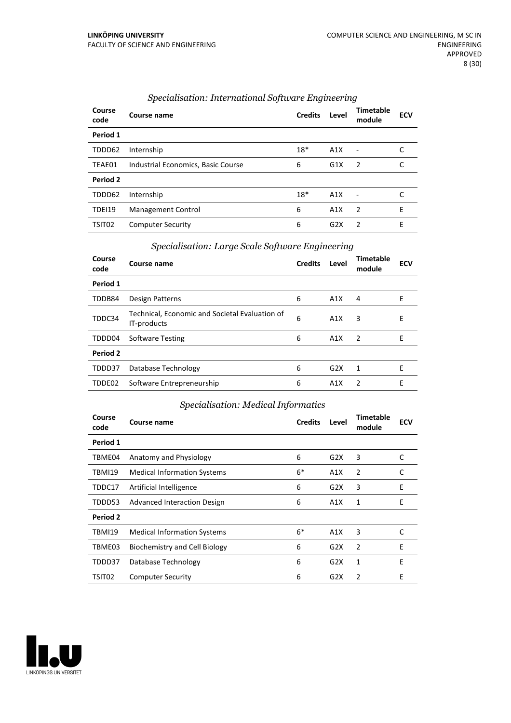| Course<br>code     | Course name                        | <b>Credits</b> | Level | <b>Timetable</b><br>module | <b>ECV</b> |
|--------------------|------------------------------------|----------------|-------|----------------------------|------------|
| Period 1           |                                    |                |       |                            |            |
| TDDD62             | Internship                         | $18*$          | A1X   | $\overline{\phantom{a}}$   |            |
| TEAE01             | Industrial Economics, Basic Course | 6              | G1X   | $\overline{2}$             | C          |
| Period 2           |                                    |                |       |                            |            |
| TDDD62             | Internship                         | $18*$          | A1X   | Ē,                         |            |
| TDEI19             | Management Control                 | 6              | A1X   | $\overline{2}$             | E          |
| TSIT <sub>02</sub> | <b>Computer Security</b>           | 6              | G2X   | $\mathcal{P}$              | F          |

#### *Specialisation: International Software Engineering*

| Specialisation: Large Scale Software Engineering |  |
|--------------------------------------------------|--|
|--------------------------------------------------|--|

| Course<br>code | Course name                                                   | <b>Credits</b> | Level | Timetable<br>module | <b>ECV</b> |
|----------------|---------------------------------------------------------------|----------------|-------|---------------------|------------|
| Period 1       |                                                               |                |       |                     |            |
| TDDB84         | Design Patterns                                               | 6              | A1X   | 4                   | F          |
| TDDC34         | Technical, Economic and Societal Evaluation of<br>IT-products | 6              | A1X   | 3                   | Е          |
| TDDD04         | <b>Software Testing</b>                                       | 6              | A1X   | $\overline{2}$      | Е          |
| Period 2       |                                                               |                |       |                     |            |
| TDDD37         | Database Technology                                           | 6              | G2X   | 1                   | Е          |
| TDDE02         | Software Entrepreneurship                                     | 6              | A1X   | $\mathcal{P}$       | F          |

# *Specialisation: Medical Informatics*

| Course<br>code | Course name                        | <b>Credits</b> | Level | <b>Timetable</b><br>module | <b>ECV</b> |
|----------------|------------------------------------|----------------|-------|----------------------------|------------|
| Period 1       |                                    |                |       |                            |            |
| TBME04         | Anatomy and Physiology             | 6              | G2X   | 3                          | C          |
| TBMI19         | <b>Medical Information Systems</b> | $6*$           | A1X   | 2                          | C          |
| TDDC17         | Artificial Intelligence            | 6              | G2X   | 3                          | E          |
| TDDD53         | Advanced Interaction Design        | 6              | A1X   | 1                          | E          |
| Period 2       |                                    |                |       |                            |            |
| TBMI19         | <b>Medical Information Systems</b> | $6*$           | A1X   | 3                          | C          |
| TBME03         | Biochemistry and Cell Biology      | 6              | G2X   | $\overline{2}$             | E          |
| TDDD37         | Database Technology                | 6              | G2X   | 1                          | F          |
| TSIT02         | <b>Computer Security</b>           | 6              | G2X   | 2                          | E          |

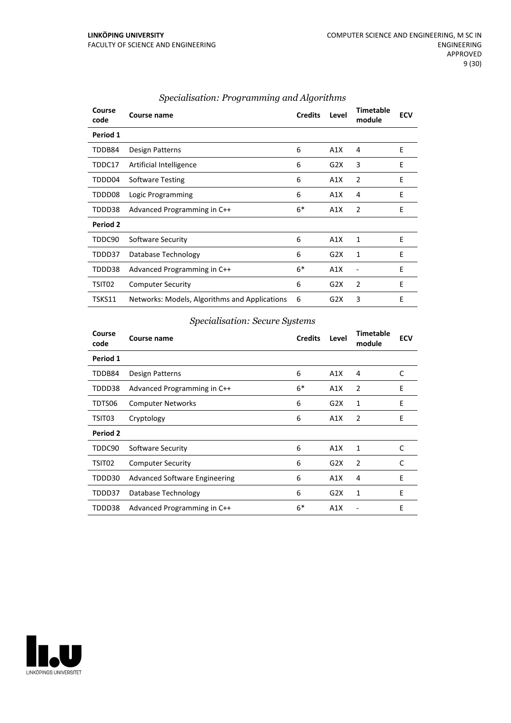| Course<br>code | Course name                                   | <b>Credits</b> | Level | <b>Timetable</b><br>module | <b>ECV</b> |
|----------------|-----------------------------------------------|----------------|-------|----------------------------|------------|
| Period 1       |                                               |                |       |                            |            |
| TDDB84         | Design Patterns                               | 6              | A1X   | 4                          | E          |
| TDDC17         | Artificial Intelligence                       | 6              | G2X   | 3                          | E          |
| TDDD04         | <b>Software Testing</b>                       | 6              | A1X   | $\overline{2}$             | E          |
| TDDD08         | Logic Programming                             | 6              | A1X   | 4                          | E          |
| TDDD38         | Advanced Programming in C++                   | $6*$           | A1X   | $\overline{2}$             | E          |
| Period 2       |                                               |                |       |                            |            |
| TDDC90         | Software Security                             | 6              | A1X   | 1                          | E          |
| TDDD37         | Database Technology                           | 6              | G2X   | 1                          | E          |
| TDDD38         | Advanced Programming in C++                   | $6*$           | A1X   | ۰                          | E          |
| TSIT02         | <b>Computer Security</b>                      | 6              | G2X   | $\overline{2}$             | E          |
| TSKS11         | Networks: Models, Algorithms and Applications | 6              | G2X   | 3                          | E          |

#### *Specialisation: Programming and Algorithms*

# *Specialisation: Secure Systems*

| Course<br>code | Course name                          | <b>Credits</b> | Level | <b>Timetable</b><br>module | <b>ECV</b> |
|----------------|--------------------------------------|----------------|-------|----------------------------|------------|
| Period 1       |                                      |                |       |                            |            |
| TDDB84         | Design Patterns                      | 6              | A1X   | 4                          | C          |
| TDDD38         | Advanced Programming in C++          | $6*$           | A1X   | 2                          | E          |
| TDTS06         | <b>Computer Networks</b>             | 6              | G2X   | 1                          | E          |
| TSIT03         | Cryptology                           | 6              | A1X   | 2                          | E          |
| Period 2       |                                      |                |       |                            |            |
| TDDC90         | Software Security                    | 6              | A1X   | 1                          | C          |
| TSIT02         | <b>Computer Security</b>             | 6              | G2X   | 2                          | C          |
| TDDD30         | <b>Advanced Software Engineering</b> | 6              | A1X   | 4                          | E          |
| TDDD37         | Database Technology                  | 6              | G2X   | 1                          | E          |
| TDDD38         | Advanced Programming in C++          | $6*$           | A1X   |                            | E          |

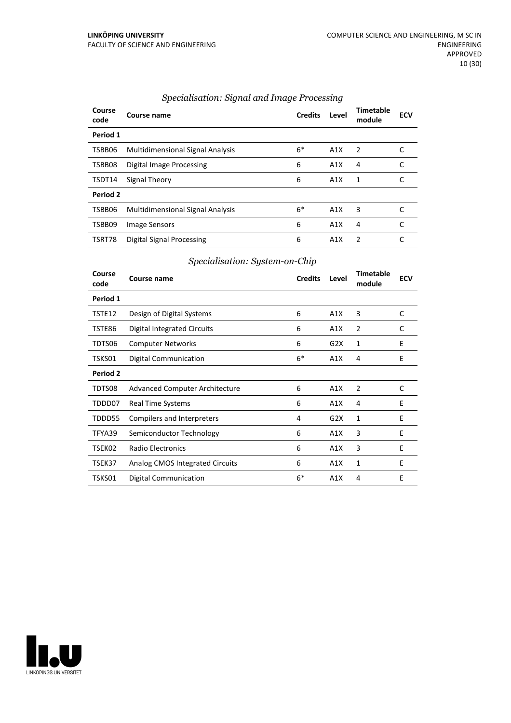| Course<br>code | Course name                             | <b>Credits</b> | Level            | <b>Timetable</b><br>module | <b>ECV</b> |
|----------------|-----------------------------------------|----------------|------------------|----------------------------|------------|
| Period 1       |                                         |                |                  |                            |            |
| TSBB06         | Multidimensional Signal Analysis        | $6*$           | A1X              | 2                          |            |
| TSBB08         | Digital Image Processing                | 6              | A1X              | 4                          | C          |
| TSDT14         | Signal Theory                           | 6              | A1X              | 1                          | C          |
| Period 2       |                                         |                |                  |                            |            |
| TSBB06         | <b>Multidimensional Signal Analysis</b> | $6*$           | A1X              | 3                          |            |
| TSBB09         | Image Sensors                           | 6              | A1X              | 4                          |            |
| TSRT78         | Digital Signal Processing               | 6              | A <sub>1</sub> X | 2                          |            |

#### *Specialisation: Signal and Image Processing*

# *Specialisation: System-on-Chip*

| Course<br>code | Course name                        | <b>Credits</b> | Level | <b>Timetable</b><br>module | <b>ECV</b> |
|----------------|------------------------------------|----------------|-------|----------------------------|------------|
| Period 1       |                                    |                |       |                            |            |
| TSTE12         | Design of Digital Systems          | 6              | A1X   | 3                          | C          |
| TSTE86         | <b>Digital Integrated Circuits</b> | 6              | A1X   | $\overline{2}$             | C          |
| TDTS06         | <b>Computer Networks</b>           | 6              | G2X   | 1                          | E          |
| TSKS01         | <b>Digital Communication</b>       | $6*$           | A1X   | 4                          | E          |
| Period 2       |                                    |                |       |                            |            |
| TDTS08         | Advanced Computer Architecture     | 6              | A1X   | 2                          | C          |
| TDDD07         | <b>Real Time Systems</b>           | 6              | A1X   | 4                          | E          |
| TDDD55         | Compilers and Interpreters         | 4              | G2X   | 1                          | E          |
| TFYA39         | Semiconductor Technology           | 6              | A1X   | 3                          | E          |
| TSEK02         | Radio Electronics                  | 6              | A1X   | 3                          | E          |
| TSEK37         | Analog CMOS Integrated Circuits    | 6              | A1X   | 1                          | E          |
| TSKS01         | <b>Digital Communication</b>       | $6*$           | A1X   | 4                          | E          |

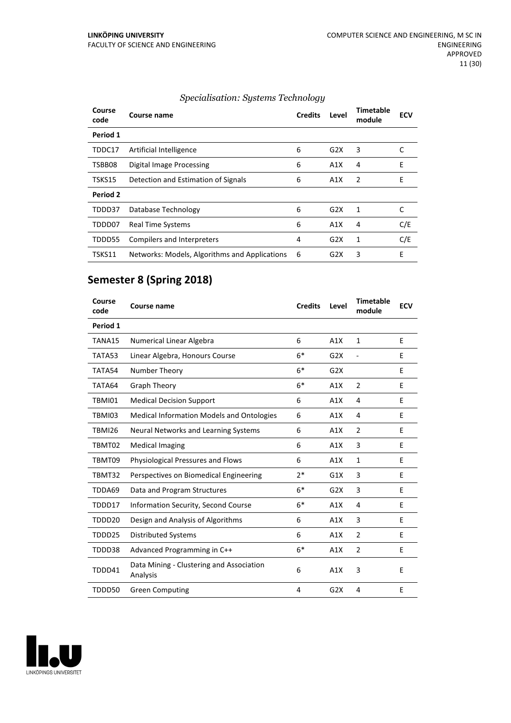| Course<br>code | Course name                                   | <b>Credits</b> | Level            | Timetable<br>module | <b>ECV</b> |
|----------------|-----------------------------------------------|----------------|------------------|---------------------|------------|
| Period 1       |                                               |                |                  |                     |            |
| TDDC17         | Artificial Intelligence                       | 6              | G2X              | 3                   |            |
| TSBB08         | Digital Image Processing                      | 6              | A1X              | 4                   | E          |
| TSKS15         | Detection and Estimation of Signals           | 6              | A1X              | 2                   | E          |
| Period 2       |                                               |                |                  |                     |            |
| TDDD37         | Database Technology                           | 6              | G2X              | 1                   | С          |
| TDDD07         | <b>Real Time Systems</b>                      | 6              | A1X              | 4                   | C/E        |
| TDDD55         | Compilers and Interpreters                    | 4              | G <sub>2</sub> X | 1                   | C/E        |
| TSKS11         | Networks: Models, Algorithms and Applications | 6              | G2X              | 3                   | E          |

# *Specialisation: Systems Technology*

# **Semester 8 (Spring 2018)**

| Course<br>code | Course name                                          | <b>Credits</b> | Level | <b>Timetable</b><br>module | <b>ECV</b> |
|----------------|------------------------------------------------------|----------------|-------|----------------------------|------------|
| Period 1       |                                                      |                |       |                            |            |
| TANA15         | Numerical Linear Algebra                             | 6              | A1X   | $\mathbf{1}$               | E          |
| TATA53         | Linear Algebra, Honours Course                       | $6*$           | G2X   |                            | E          |
| TATA54         | Number Theory                                        | $6*$           | G2X   |                            | E          |
| TATA64         | <b>Graph Theory</b>                                  | $6*$           | A1X   | $\overline{2}$             | E          |
| TBMI01         | <b>Medical Decision Support</b>                      | 6              | A1X   | $\overline{4}$             | E          |
| TBMI03         | <b>Medical Information Models and Ontologies</b>     | 6              | A1X   | 4                          | E          |
| TBMI26         | Neural Networks and Learning Systems                 | 6              | A1X   | $\overline{2}$             | E          |
| TBMT02         | <b>Medical Imaging</b>                               | 6              | A1X   | 3                          | E          |
| TBMT09         | Physiological Pressures and Flows                    | 6              | A1X   | 1                          | E          |
| TBMT32         | Perspectives on Biomedical Engineering               | $2*$           | G1X   | 3                          | E          |
| TDDA69         | Data and Program Structures                          | $6*$           | G2X   | 3                          | E          |
| TDDD17         | <b>Information Security, Second Course</b>           | $6*$           | A1X   | 4                          | E          |
| TDDD20         | Design and Analysis of Algorithms                    | 6              | A1X   | 3                          | E          |
| TDDD25         | <b>Distributed Systems</b>                           | 6              | A1X   | $\overline{2}$             | E          |
| TDDD38         | Advanced Programming in C++                          | $6*$           | A1X   | $\overline{2}$             | E          |
| TDDD41         | Data Mining - Clustering and Association<br>Analysis | 6              | A1X   | 3                          | E          |
| TDDD50         | <b>Green Computing</b>                               | 4              | G2X   | 4                          | E          |

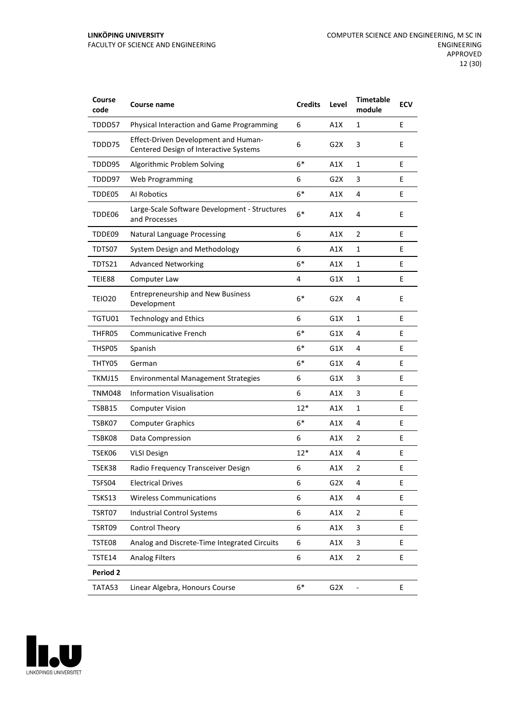| Course<br>code | Course name                                                                    | <b>Credits</b> | Level            | <b>Timetable</b><br>module | <b>ECV</b> |
|----------------|--------------------------------------------------------------------------------|----------------|------------------|----------------------------|------------|
| TDDD57         | Physical Interaction and Game Programming                                      | 6              | A1X              | 1                          | E          |
| TDDD75         | Effect-Driven Development and Human-<br>Centered Design of Interactive Systems | 6              | G2X              | 3                          | E          |
| TDDD95         | Algorithmic Problem Solving                                                    | $6*$           | A1X              | $\mathbf{1}$               | E          |
| TDDD97         | <b>Web Programming</b>                                                         | 6              | G2X              | 3                          | E          |
| TDDE05         | Al Robotics                                                                    | $6*$           | A1X              | 4                          | E          |
| TDDE06         | Large-Scale Software Development - Structures<br>and Processes                 | $6*$           | A1X              | 4                          | E          |
| TDDE09         | <b>Natural Language Processing</b>                                             | 6              | A1X              | $\overline{2}$             | E          |
| TDTS07         | System Design and Methodology                                                  | 6              | A1X              | 1                          | E          |
| TDTS21         | <b>Advanced Networking</b>                                                     | $6*$           | A1X              | $\mathbf{1}$               | E          |
| TEIE88         | Computer Law                                                                   | 4              | G1X              | $\mathbf{1}$               | E          |
| <b>TEIO20</b>  | <b>Entrepreneurship and New Business</b><br>Development                        | $6*$           | G2X              | 4                          | E          |
| TGTU01         | <b>Technology and Ethics</b>                                                   | 6              | G1X              | 1                          | E          |
| THFR05         | <b>Communicative French</b>                                                    | $6*$           | G1X              | 4                          | E          |
| THSP05         | Spanish                                                                        | $6*$           | G1X              | 4                          | E          |
| THTY05         | German                                                                         | $6*$           | G1X              | 4                          | E          |
| TKMJ15         | <b>Environmental Management Strategies</b>                                     | 6              | G1X              | 3                          | E          |
| TNM048         | <b>Information Visualisation</b>                                               | 6              | A1X              | 3                          | E          |
| TSBB15         | <b>Computer Vision</b>                                                         | 12*            | A1X              | $\mathbf{1}$               | E          |
| TSBK07         | <b>Computer Graphics</b>                                                       | $6*$           | A1X              | 4                          | E          |
| TSBK08         | Data Compression                                                               | 6              | A1X              | 2                          | E          |
| TSEK06         | <b>VLSI Design</b>                                                             | $12*$          | A1X              | 4                          | Е          |
| TSEK38         | Radio Frequency Transceiver Design                                             | 6              | A1X              | 2                          | Е          |
| TSFS04         | <b>Electrical Drives</b>                                                       | 6              | G <sub>2</sub> X | 4                          | Е          |
| TSKS13         | <b>Wireless Communications</b>                                                 | 6              | A1X              | 4                          | E          |
| TSRT07         | <b>Industrial Control Systems</b>                                              | 6              | A1X              | $\overline{2}$             | E          |
| TSRT09         | <b>Control Theory</b>                                                          | 6              | A1X              | $\ensuremath{\mathsf{3}}$  | E          |
| TSTE08         | Analog and Discrete-Time Integrated Circuits                                   | 6              | A1X              | 3                          | E          |
| TSTE14         | <b>Analog Filters</b>                                                          | 6              | A1X              | $\overline{2}$             | E          |
| Period 2       |                                                                                |                |                  |                            |            |
| TATA53         | Linear Algebra, Honours Course                                                 | $6^*$          | G <sub>2</sub> X | $\blacksquare$             | E          |

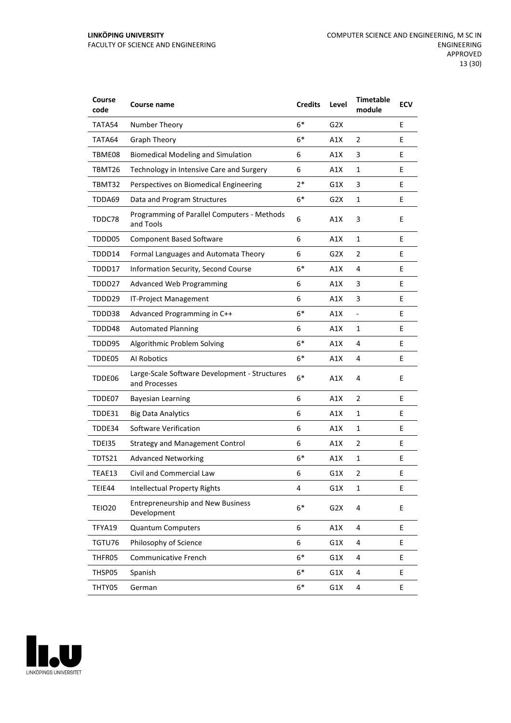| Course<br>code | <b>Course name</b>                                             | <b>Credits</b> | Level            | <b>Timetable</b><br>module   | <b>ECV</b> |
|----------------|----------------------------------------------------------------|----------------|------------------|------------------------------|------------|
| TATA54         | Number Theory                                                  | $6*$           | G <sub>2</sub> X |                              | E          |
| TATA64         | <b>Graph Theory</b>                                            | $6*$           | A1X              | 2                            | E          |
| TBME08         | <b>Biomedical Modeling and Simulation</b>                      | 6              | A1X              | 3                            | E          |
| TBMT26         | Technology in Intensive Care and Surgery                       | 6              | A1X              | 1                            | E          |
| TBMT32         | Perspectives on Biomedical Engineering                         | $2*$           | G1X              | 3                            | E          |
| TDDA69         | Data and Program Structures                                    | $6*$           | G2X              | $\mathbf{1}$                 | E          |
| TDDC78         | Programming of Parallel Computers - Methods<br>and Tools       | 6              | A1X              | 3                            | E          |
| TDDD05         | <b>Component Based Software</b>                                | 6              | A1X              | $\mathbf{1}$                 | E          |
| TDDD14         | Formal Languages and Automata Theory                           | 6              | G2X              | 2                            | E          |
| TDDD17         | Information Security, Second Course                            | $6*$           | A1X              | 4                            | E          |
| TDDD27         | <b>Advanced Web Programming</b>                                | 6              | A1X              | 3                            | E          |
| TDDD29         | IT-Project Management                                          | 6              | A1X              | 3                            | E          |
| TDDD38         | Advanced Programming in C++                                    | $6*$           | A1X              | $\qquad \qquad \blacksquare$ | E          |
| TDDD48         | <b>Automated Planning</b>                                      | 6              | A1X              | 1                            | E          |
| TDDD95         | Algorithmic Problem Solving                                    | $6*$           | A1X              | 4                            | E          |
| TDDE05         | Al Robotics                                                    | $6*$           | A1X              | 4                            | E          |
| TDDE06         | Large-Scale Software Development - Structures<br>and Processes | $6*$           | A1X              | 4                            | E          |
| TDDE07         | <b>Bayesian Learning</b>                                       | 6              | A1X              | $\overline{2}$               | E          |
| TDDE31         | <b>Big Data Analytics</b>                                      | 6              | A1X              | 1                            | E          |
| TDDE34         | Software Verification                                          | 6              | A1X              | $\mathbf{1}$                 | E          |
| TDEI35         | <b>Strategy and Management Control</b>                         | 6              | A1X              | $\overline{2}$               | E          |
| TDTS21         | <b>Advanced Networking</b>                                     | $6*$           | A1X              | $\mathbf{1}$                 | E          |
| TEAE13         | Civil and Commercial Law                                       | 6              | G1X              | $\overline{2}$               | E          |
| TEIE44         | <b>Intellectual Property Rights</b>                            | 4              | G1X              | 1                            | E          |
| <b>TEIO20</b>  | <b>Entrepreneurship and New Business</b><br>Development        | $6*$           | G <sub>2</sub> X | 4                            | E          |
| TFYA19         | <b>Quantum Computers</b>                                       | 6              | A1X              | 4                            | E          |
| TGTU76         | Philosophy of Science                                          | 6              | G1X              | 4                            | E          |
| THFR05         | Communicative French                                           | $6*$           | G1X              | 4                            | E          |
| THSP05         | Spanish                                                        | $6*$           | G1X              | 4                            | E          |
| THTY05         | German                                                         | 6*             | G1X              | 4                            | E          |

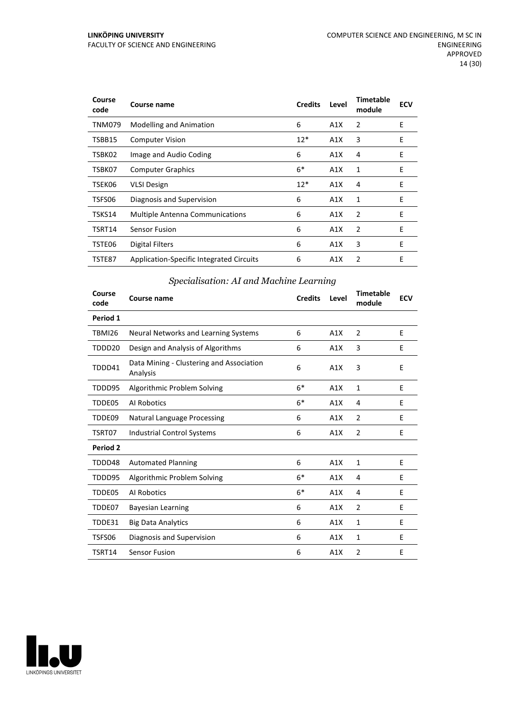| Course<br>code | Course name                              | <b>Credits</b> | Level | <b>Timetable</b><br>module | <b>ECV</b> |
|----------------|------------------------------------------|----------------|-------|----------------------------|------------|
| <b>TNM079</b>  | <b>Modelling and Animation</b>           | 6              | A1X   | $\overline{2}$             | E          |
| TSBB15         | <b>Computer Vision</b>                   | $12*$          | A1X   | 3                          | E          |
| TSBK02         | Image and Audio Coding                   | 6              | A1X   | 4                          | E          |
| TSBK07         | <b>Computer Graphics</b>                 | $6*$           | A1X   | 1                          | E          |
| TSEK06         | <b>VLSI Design</b>                       | $12*$          | A1X   | 4                          | E          |
| TSFS06         | Diagnosis and Supervision                | 6              | A1X   | 1                          | E          |
| TSKS14         | <b>Multiple Antenna Communications</b>   | 6              | A1X   | 2                          | E          |
| TSRT14         | <b>Sensor Fusion</b>                     | 6              | A1X   | 2                          | E          |
| TSTE06         | <b>Digital Filters</b>                   | 6              | A1X   | 3                          | E          |
| TSTE87         | Application-Specific Integrated Circuits | 6              | A1X   | 2                          | E          |

# *Specialisation: AI and Machine Learning*

| Course<br>code | Course name                                          | <b>Credits</b> | Level | <b>Timetable</b><br>module | <b>ECV</b> |
|----------------|------------------------------------------------------|----------------|-------|----------------------------|------------|
| Period 1       |                                                      |                |       |                            |            |
| <b>TBMI26</b>  | Neural Networks and Learning Systems                 | 6              | A1X   | 2                          | E          |
| TDDD20         | Design and Analysis of Algorithms                    | 6              | A1X   | 3                          | E          |
| TDDD41         | Data Mining - Clustering and Association<br>Analysis | 6              | A1X   | 3                          | E          |
| TDDD95         | Algorithmic Problem Solving                          | $6*$           | A1X   | 1                          | E          |
| TDDE05         | Al Robotics                                          | $6*$           | A1X   | 4                          | E          |
| TDDE09         | <b>Natural Language Processing</b>                   | 6              | A1X   | $\overline{2}$             | E          |
| TSRT07         | <b>Industrial Control Systems</b>                    | 6              | A1X   | $\overline{2}$             | E          |
| Period 2       |                                                      |                |       |                            |            |
| TDDD48         | <b>Automated Planning</b>                            | 6              | A1X   | 1                          | E          |
| TDDD95         | Algorithmic Problem Solving                          | $6*$           | A1X   | 4                          | E          |
| TDDE05         | Al Robotics                                          | $6*$           | A1X   | 4                          | E          |
| TDDE07         | Bayesian Learning                                    | 6              | A1X   | $\overline{2}$             | E          |
| TDDE31         | <b>Big Data Analytics</b>                            | 6              | A1X   | $\mathbf{1}$               | E          |
| TSFS06         | Diagnosis and Supervision                            | 6              | A1X   | 1                          | E          |
| TSRT14         | <b>Sensor Fusion</b>                                 | 6              | A1X   | $\overline{2}$             | F          |

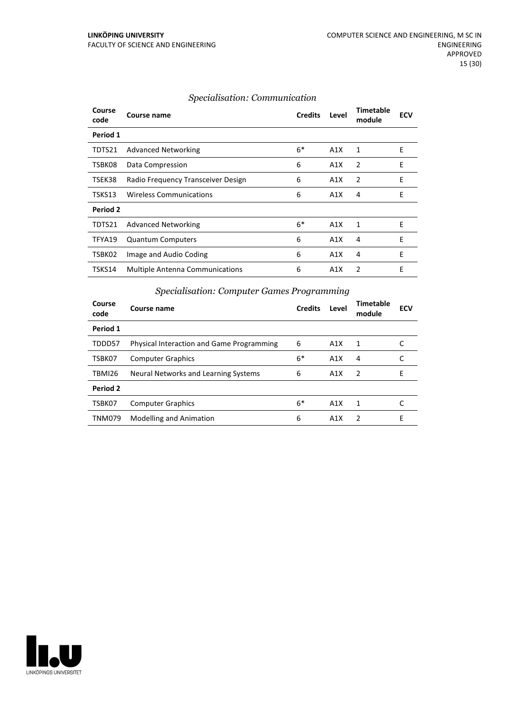| Course<br>code | Course name                            | <b>Credits</b> | Level | Timetable<br>module | <b>ECV</b> |
|----------------|----------------------------------------|----------------|-------|---------------------|------------|
| Period 1       |                                        |                |       |                     |            |
| TDTS21         | <b>Advanced Networking</b>             | $6*$           | A1X   | 1                   | Ε          |
| TSBK08         | Data Compression                       | 6              | A1X   | 2                   | E          |
| TSEK38         | Radio Frequency Transceiver Design     | 6              | A1X   | 2                   | E          |
| TSKS13         | <b>Wireless Communications</b>         | 6              | A1X   | 4                   | E          |
| Period 2       |                                        |                |       |                     |            |
| TDTS21         | <b>Advanced Networking</b>             | $6*$           | A1X   | 1                   | E          |
| TFYA19         | <b>Quantum Computers</b>               | 6              | A1X   | 4                   | E          |
| TSBK02         | Image and Audio Coding                 | 6              | A1X   | 4                   | E          |
| TSKS14         | <b>Multiple Antenna Communications</b> | 6              | A1X   | $\mathfrak{p}$      | E          |

#### *Specialisation: Communication*

#### **Course code Course name Credits Level Timetable module ECV Period 1** TDDD57 Physical Interaction and Game Programming 6 A1X 1 C TSBK07 Computer Graphics 6\* A1X 4 C TBMI26 Neural Networks and Learning Systems 6 A1X 2 E **Period 2** TSBK07 Computer Graphics 6\* A1X 1 TNM079 Modelling and Animation **6** A1X 2 E

#### *Specialisation: Computer Games Programming*

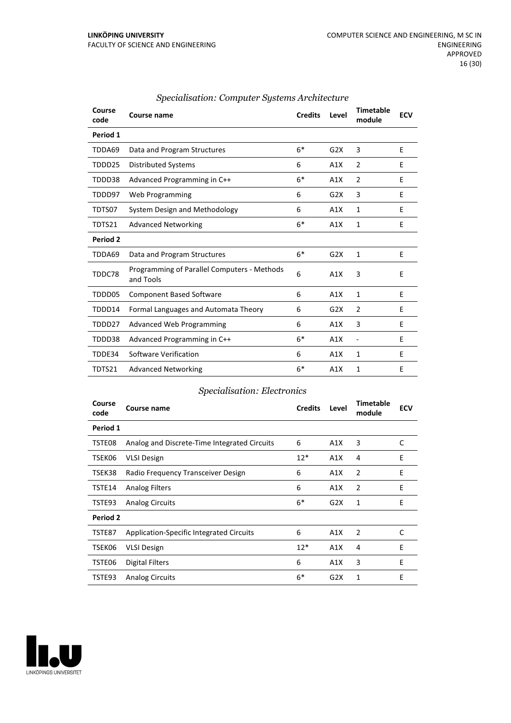| Course<br>code | Course name                                              | <b>Credits</b> | Level | <b>Timetable</b><br>module | <b>ECV</b> |
|----------------|----------------------------------------------------------|----------------|-------|----------------------------|------------|
| Period 1       |                                                          |                |       |                            |            |
| TDDA69         | Data and Program Structures                              | $6*$           | G2X   | 3                          | E          |
| TDDD25         | <b>Distributed Systems</b>                               | 6              | A1X   | 2                          | E          |
| TDDD38         | Advanced Programming in C++                              | $6*$           | A1X   | 2                          | E          |
| TDDD97         | Web Programming                                          | 6              | G2X   | 3                          | E          |
| TDTS07         | System Design and Methodology                            | 6              | A1X   | $\mathbf{1}$               | F          |
| TDTS21         | <b>Advanced Networking</b>                               | $6*$           | A1X   | 1                          | E          |
| Period 2       |                                                          |                |       |                            |            |
| TDDA69         | Data and Program Structures                              | $6*$           | G2X   | 1                          | E          |
| TDDC78         | Programming of Parallel Computers - Methods<br>and Tools | 6              | A1X   | 3                          | E          |
| TDDD05         | <b>Component Based Software</b>                          | 6              | A1X   | $\mathbf{1}$               | E          |
| TDDD14         | Formal Languages and Automata Theory                     | 6              | G2X   | 2                          | E          |
| TDDD27         | <b>Advanced Web Programming</b>                          | 6              | A1X   | 3                          | E          |
| TDDD38         | Advanced Programming in C++                              | $6*$           | A1X   | $\overline{\phantom{a}}$   | E          |
| TDDE34         | Software Verification                                    | 6              | A1X   | 1                          | E          |
| TDTS21         | <b>Advanced Networking</b>                               | $6*$           | A1X   | 1                          | E          |

#### *Specialisation: Computer Systems Architecture*

#### *Specialisation: Electronics*

| Course<br>code | Course name                                     | <b>Credits</b> | Level | <b>Timetable</b><br>module | <b>ECV</b> |
|----------------|-------------------------------------------------|----------------|-------|----------------------------|------------|
| Period 1       |                                                 |                |       |                            |            |
| TSTE08         | Analog and Discrete-Time Integrated Circuits    | 6              | A1X   | 3                          | C          |
| TSEK06         | <b>VLSI Design</b>                              | $12*$          | A1X   | 4                          | E          |
| TSEK38         | Radio Frequency Transceiver Design              | 6              | A1X   | 2                          | E          |
| TSTE14         | <b>Analog Filters</b>                           | 6              | A1X   | 2                          | E          |
| TSTE93         | <b>Analog Circuits</b>                          | $6*$           | G2X   | 1                          | E          |
| Period 2       |                                                 |                |       |                            |            |
| TSTE87         | <b>Application-Specific Integrated Circuits</b> | 6              | A1X   | 2                          | C          |
| TSEK06         | <b>VLSI Design</b>                              | $12*$          | A1X   | 4                          | E          |
| TSTE06         | <b>Digital Filters</b>                          | 6              | A1X   | 3                          | E          |
| TSTE93         | <b>Analog Circuits</b>                          | $6*$           | G2X   | 1                          | E          |

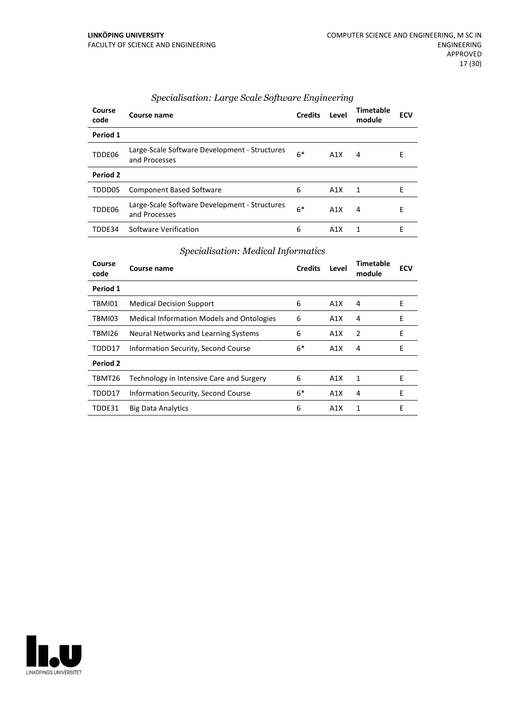| Course<br>code | Course name                                                    | <b>Credits</b> | Level | Timetable<br>module | <b>ECV</b> |
|----------------|----------------------------------------------------------------|----------------|-------|---------------------|------------|
| Period 1       |                                                                |                |       |                     |            |
| TDDE06         | Large-Scale Software Development - Structures<br>and Processes | $6*$           | A1X   | 4                   | E          |
| Period 2       |                                                                |                |       |                     |            |
| TDDD05         | <b>Component Based Software</b>                                | 6              | A1X   | 1                   | F          |
| TDDE06         | Large-Scale Software Development - Structures<br>and Processes | $6*$           | A1X   | 4                   | E          |
| TDDF34         | Software Verification                                          | 6              | A1X   | 1                   | F          |

# *Specialisation: Large Scale Software Engineering*

# *Specialisation: Medical Informatics*

| Course<br>code | Course name                                      | <b>Credits</b> | Level | <b>Timetable</b><br>module | <b>ECV</b> |
|----------------|--------------------------------------------------|----------------|-------|----------------------------|------------|
| Period 1       |                                                  |                |       |                            |            |
| TBMI01         | <b>Medical Decision Support</b>                  | 6              | A1X   | 4                          | Е          |
| TBMI03         | <b>Medical Information Models and Ontologies</b> | 6              | A1X   | 4                          | Е          |
| TBMI26         | Neural Networks and Learning Systems             | 6              | A1X   | 2                          | E          |
| TDDD17         | Information Security, Second Course              | $6*$           | A1X   | 4                          | E          |
| Period 2       |                                                  |                |       |                            |            |
| TBMT26         | Technology in Intensive Care and Surgery         | 6              | A1X   | 1                          | F          |
| TDDD17         | Information Security, Second Course              | $6*$           | A1X   | 4                          | F          |
| TDDE31         | <b>Big Data Analytics</b>                        | 6              | A1X   | 1                          | E          |

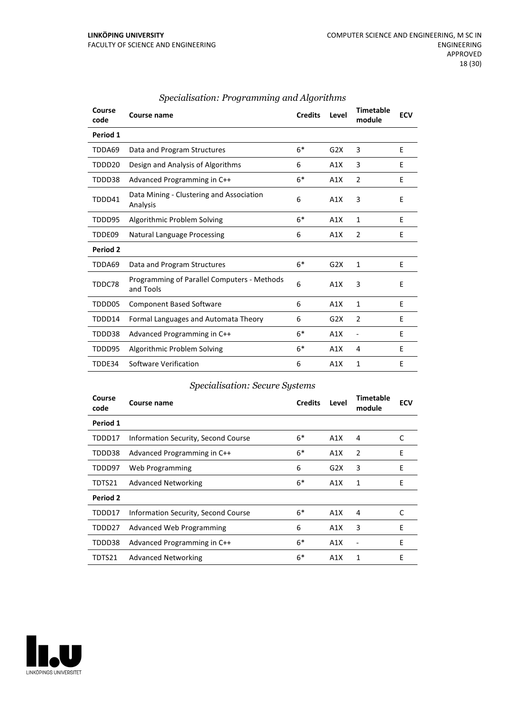| Course<br>code      | Course name                                              | <b>Credits</b> | Level | <b>Timetable</b><br>module | <b>ECV</b> |
|---------------------|----------------------------------------------------------|----------------|-------|----------------------------|------------|
| Period 1            |                                                          |                |       |                            |            |
| TDDA69              | Data and Program Structures                              | $6*$           | G2X   | 3                          | E          |
| TDDD20              | Design and Analysis of Algorithms                        | 6              | A1X   | 3                          | E          |
| TDDD38              | Advanced Programming in C++                              | $6*$           | A1X   | $\overline{2}$             | F          |
| TDDD41              | Data Mining - Clustering and Association<br>Analysis     | 6              | A1X   | 3                          | E          |
| TDDD95              | Algorithmic Problem Solving                              | $6*$           | A1X   | 1                          | E          |
| TDDE09              | <b>Natural Language Processing</b>                       | 6              | A1X   | 2                          | E          |
| Period <sub>2</sub> |                                                          |                |       |                            |            |
| TDDA69              | Data and Program Structures                              | $6*$           | G2X   | $\mathbf{1}$               | E          |
| TDDC78              | Programming of Parallel Computers - Methods<br>and Tools | 6              | A1X   | 3                          | E          |
| TDDD05              | <b>Component Based Software</b>                          | 6              | A1X   | 1                          | E          |
| TDDD14              | Formal Languages and Automata Theory                     | 6              | G2X   | $\overline{2}$             | E          |
| TDDD38              | Advanced Programming in C++                              | $6*$           | A1X   | $\overline{a}$             | E          |
| TDDD95              | Algorithmic Problem Solving                              | $6*$           | A1X   | 4                          | E          |
| TDDE34              | Software Verification                                    | 6              | A1X   | 1                          | F          |

#### *Specialisation: Programming and Algorithms*

# *Specialisation: Secure Systems*

| Course<br>code | Course name                         | <b>Credits</b> | Level | <b>Timetable</b><br>module | <b>ECV</b> |
|----------------|-------------------------------------|----------------|-------|----------------------------|------------|
| Period 1       |                                     |                |       |                            |            |
| TDDD17         | Information Security, Second Course | $6*$           | A1X   | 4                          | C          |
| TDDD38         | Advanced Programming in C++         | $6*$           | A1X   | 2                          | E          |
| TDDD97         | Web Programming                     | 6              | G2X   | 3                          | E          |
| TDTS21         | <b>Advanced Networking</b>          | $6*$           | A1X   | 1                          | E          |
| Period 2       |                                     |                |       |                            |            |
| TDDD17         | Information Security, Second Course | $6*$           | A1X   | 4                          | C          |
| TDDD27         | Advanced Web Programming            | 6              | A1X   | 3                          | E          |
| TDDD38         | Advanced Programming in C++         | $6*$           | A1X   |                            | E          |
| TDTS21         | <b>Advanced Networking</b>          | $6*$           | A1X   | 1                          | E          |

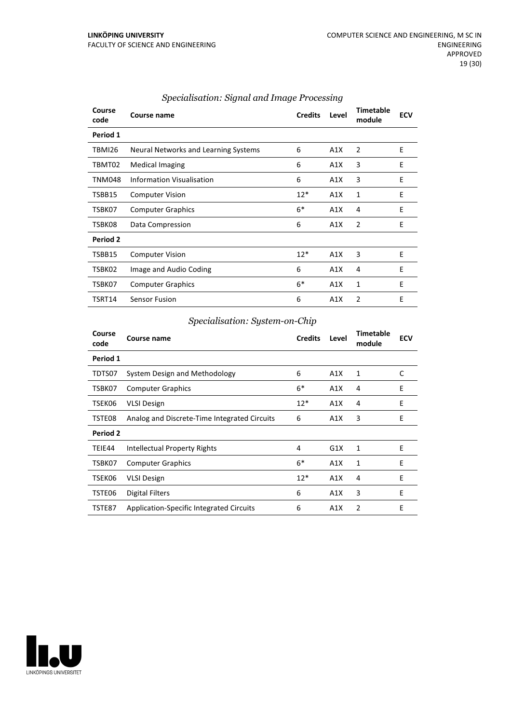| Course<br>code | Course name                          | <b>Credits</b> | Level | <b>Timetable</b><br>module | <b>ECV</b> |
|----------------|--------------------------------------|----------------|-------|----------------------------|------------|
| Period 1       |                                      |                |       |                            |            |
| TBMI26         | Neural Networks and Learning Systems | 6              | A1X   | 2                          | E          |
| TBMT02         | <b>Medical Imaging</b>               | 6              | A1X   | 3                          | E          |
| <b>TNM048</b>  | Information Visualisation            | 6              | A1X   | 3                          | E          |
| TSBB15         | <b>Computer Vision</b>               | $12*$          | A1X   | $\mathbf{1}$               | E          |
| TSBK07         | <b>Computer Graphics</b>             | $6*$           | A1X   | 4                          | Ε          |
| TSBK08         | Data Compression                     | 6              | A1X   | 2                          | E          |
| Period 2       |                                      |                |       |                            |            |
| TSBB15         | <b>Computer Vision</b>               | $12*$          | A1X   | 3                          | E          |
| TSBK02         | Image and Audio Coding               | 6              | A1X   | 4                          | E          |
| TSBK07         | <b>Computer Graphics</b>             | $6*$           | A1X   | 1                          | E          |
| TSRT14         | <b>Sensor Fusion</b>                 | 6              | A1X   | 2                          | E          |

# *Specialisation: Signal and Image Processing*

# *Specialisation: System-on-Chip*

| Course<br>code | Course name                                     | <b>Credits</b> | Level | <b>Timetable</b><br>module | <b>ECV</b> |
|----------------|-------------------------------------------------|----------------|-------|----------------------------|------------|
| Period 1       |                                                 |                |       |                            |            |
| TDTS07         | System Design and Methodology                   | 6              | A1X   | 1                          | C          |
| TSBK07         | <b>Computer Graphics</b>                        | $6*$           | A1X   | 4                          | E          |
| TSEK06         | <b>VLSI Design</b>                              | $12*$          | A1X   | 4                          | E          |
| TSTE08         | Analog and Discrete-Time Integrated Circuits    | 6              | A1X   | 3                          | Ε          |
| Period 2       |                                                 |                |       |                            |            |
| TEIE44         | Intellectual Property Rights                    | 4              | G1X   | 1                          | E          |
| TSBK07         | <b>Computer Graphics</b>                        | $6*$           | A1X   | 1                          | E          |
| TSEK06         | <b>VLSI Design</b>                              | $12*$          | A1X   | 4                          | E          |
| TSTE06         | Digital Filters                                 | 6              | A1X   | 3                          | E          |
| TSTE87         | <b>Application-Specific Integrated Circuits</b> | 6              | A1X   | 2                          | E          |

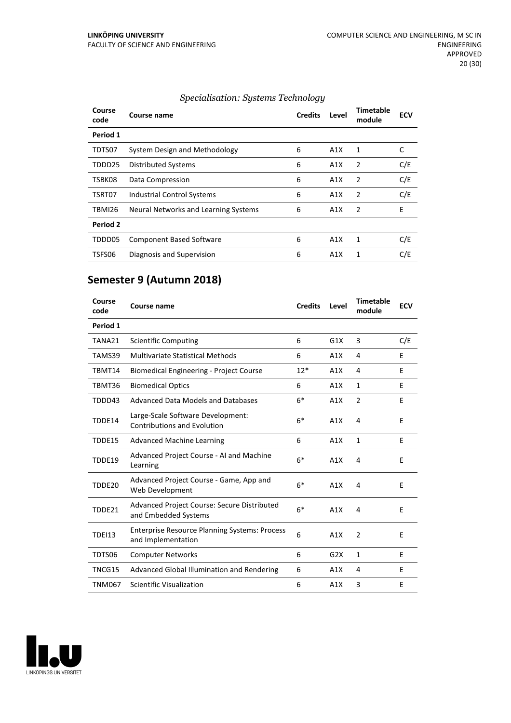| Course<br>code | Course name                          | <b>Credits</b> | Level | <b>Timetable</b><br>module | <b>ECV</b> |
|----------------|--------------------------------------|----------------|-------|----------------------------|------------|
| Period 1       |                                      |                |       |                            |            |
| TDTS07         | System Design and Methodology        | 6              | A1X   | 1                          | C          |
| TDDD25         | <b>Distributed Systems</b>           | 6              | A1X   | $\overline{2}$             | C/E        |
| TSBK08         | Data Compression                     | 6              | A1X   | $\overline{2}$             | C/E        |
| TSRT07         | <b>Industrial Control Systems</b>    | 6              | A1X   | $\overline{2}$             | C/E        |
| TBMI26         | Neural Networks and Learning Systems | 6              | A1X   | $\overline{2}$             | E          |
| Period 2       |                                      |                |       |                            |            |
| TDDD05         | <b>Component Based Software</b>      | 6              | A1X   | 1                          | C/E        |
| TSFS06         | Diagnosis and Supervision            | 6              | A1X   | 1                          | C/E        |

# *Specialisation: Systems Technology*

# **Semester 9 (Autumn 2018)**

| Course<br>code | Course name                                                                | <b>Credits</b> | Level | <b>Timetable</b><br>module | <b>ECV</b> |
|----------------|----------------------------------------------------------------------------|----------------|-------|----------------------------|------------|
| Period 1       |                                                                            |                |       |                            |            |
| TANA21         | Scientific Computing                                                       | 6              | G1X   | 3                          | C/E        |
| TAMS39         | <b>Multivariate Statistical Methods</b>                                    | 6              | A1X   | 4                          | F          |
| TBMT14         | <b>Biomedical Engineering - Project Course</b>                             | $12*$          | A1X   | 4                          | E          |
| TBMT36         | <b>Biomedical Optics</b>                                                   | 6              | A1X   | $\mathbf{1}$               | E          |
| TDDD43         | Advanced Data Models and Databases                                         | $6*$           | A1X   | 2                          | E          |
| TDDE14         | Large-Scale Software Development:<br><b>Contributions and Evolution</b>    | $6*$           | A1X   | 4                          | E          |
| TDDE15         | <b>Advanced Machine Learning</b>                                           | 6              | A1X   | $\mathbf{1}$               | E          |
| TDDE19         | Advanced Project Course - AI and Machine<br>Learning                       | $6*$           | A1X   | 4                          | F          |
| TDDE20         | Advanced Project Course - Game, App and<br>Web Development                 | $6*$           | A1X   | 4                          | E          |
| TDDE21         | Advanced Project Course: Secure Distributed<br>and Embedded Systems        | $6*$           | A1X   | 4                          | F          |
| <b>TDEI13</b>  | <b>Enterprise Resource Planning Systems: Process</b><br>and Implementation | 6              | A1X   | $\overline{2}$             | E          |
| TDTS06         | <b>Computer Networks</b>                                                   | 6              | G2X   | 1                          | E          |
| TNCG15         | Advanced Global Illumination and Rendering                                 | 6              | A1X   | 4                          | E          |
| TNM067         | Scientific Visualization                                                   | 6              | A1X   | 3                          | E          |

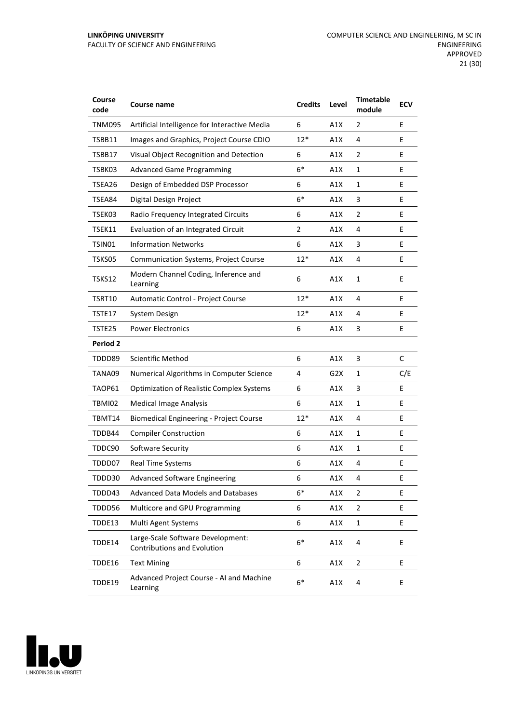| Course<br>code  | <b>Course name</b>                                               | <b>Credits</b> | Level | <b>Timetable</b><br>module | <b>ECV</b> |
|-----------------|------------------------------------------------------------------|----------------|-------|----------------------------|------------|
| TNM095          | Artificial Intelligence for Interactive Media                    | 6              | A1X   | 2                          | E          |
| TSBB11          | Images and Graphics, Project Course CDIO                         | $12*$          | A1X   | 4                          | E          |
| TSBB17          | Visual Object Recognition and Detection                          | 6              | A1X   | 2                          | E          |
| TSBK03          | <b>Advanced Game Programming</b>                                 | $6*$           | A1X   | 1                          | E          |
| TSEA26          | Design of Embedded DSP Processor                                 | 6              | A1X   | 1                          | E          |
| TSEA84          | Digital Design Project                                           | $6*$           | A1X   | 3                          | E          |
| TSEK03          | Radio Frequency Integrated Circuits                              | 6              | A1X   | 2                          | Е          |
| TSEK11          | Evaluation of an Integrated Circuit                              | 2              | A1X   | 4                          | E          |
| TSIN01          | <b>Information Networks</b>                                      | 6              | A1X   | 3                          | E          |
| TSKS05          | <b>Communication Systems, Project Course</b>                     | $12*$          | A1X   | 4                          | E          |
| <b>TSKS12</b>   | Modern Channel Coding, Inference and<br>Learning                 | 6              | A1X   | 1                          | E          |
| TSRT10          | Automatic Control - Project Course                               | $12*$          | A1X   | 4                          | E          |
| TSTE17          | System Design                                                    | $12*$          | A1X   | 4                          | E          |
| TSTE25          | <b>Power Electronics</b>                                         | 6              | A1X   | 3                          | E          |
| <b>Period 2</b> |                                                                  |                |       |                            |            |
| TDDD89          | <b>Scientific Method</b>                                         | 6              | A1X   | 3                          | C          |
| TANA09          | Numerical Algorithms in Computer Science                         | 4              | G2X   | 1                          | C/E        |
| TAOP61          | <b>Optimization of Realistic Complex Systems</b>                 | 6              | A1X   | 3                          | E          |
| TBMI02          | <b>Medical Image Analysis</b>                                    | 6              | A1X   | 1                          | E          |
| TBMT14          | <b>Biomedical Engineering - Project Course</b>                   | $12*$          | A1X   | 4                          | E          |
| TDDB44          | <b>Compiler Construction</b>                                     | 6              | A1X   | $\mathbf{1}$               | Е          |
| TDDC90          | Software Security                                                | 6              | A1X   | 1                          | E          |
| TDDD07          | Real Time Systems                                                | 6              | A1X   | 4                          | E          |
| TDDD30          | <b>Advanced Software Engineering</b>                             | 6              | A1X   | 4                          | Ε          |
| TDDD43          | <b>Advanced Data Models and Databases</b>                        | $6*$           | A1X   | 2                          | E          |
| TDDD56          | Multicore and GPU Programming                                    | 6              | A1X   | $\overline{2}$             | E          |
| TDDE13          | Multi Agent Systems                                              | 6              | A1X   | 1                          | E          |
| TDDE14          | Large-Scale Software Development:<br>Contributions and Evolution | $6*$           | A1X   | 4                          | E          |
| TDDE16          | <b>Text Mining</b>                                               | 6              | A1X   | $\overline{2}$             | E          |
| TDDE19          | Advanced Project Course - AI and Machine<br>Learning             | $6*$           | A1X   | 4                          | E          |

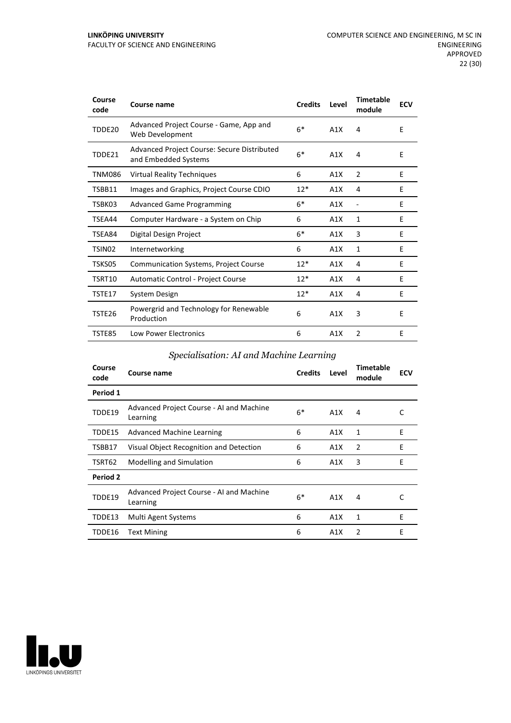| Course<br>code     | <b>Course name</b>                                                  | <b>Credits</b> | Level | <b>Timetable</b><br>module | <b>ECV</b> |
|--------------------|---------------------------------------------------------------------|----------------|-------|----------------------------|------------|
| TDDE20             | Advanced Project Course - Game, App and<br>Web Development          | $6*$           | A1X   | 4                          | E          |
| TDDE21             | Advanced Project Course: Secure Distributed<br>and Embedded Systems | $6*$           | A1X   | 4                          | E          |
| <b>TNM086</b>      | <b>Virtual Reality Techniques</b>                                   | 6              | A1X   | $\overline{2}$             | E          |
| TSBB11             | Images and Graphics, Project Course CDIO                            | $12*$          | A1X   | 4                          | E          |
| TSBK03             | <b>Advanced Game Programming</b>                                    | $6*$           | A1X   | $\overline{a}$             | E          |
| TSEA44             | Computer Hardware - a System on Chip                                | 6              | A1X   | 1                          | E          |
| TSEA84             | Digital Design Project                                              | $6*$           | A1X   | 3                          | E          |
| TSIN <sub>02</sub> | Internetworking                                                     | 6              | A1X   | 1                          | E          |
| TSKS05             | <b>Communication Systems, Project Course</b>                        | $12*$          | A1X   | 4                          | E          |
| TSRT10             | Automatic Control - Project Course                                  | $12*$          | A1X   | 4                          | E          |
| TSTE17             | System Design                                                       | $12*$          | A1X   | 4                          | E          |
| TSTE <sub>26</sub> | Powergrid and Technology for Renewable<br>Production                | 6              | A1X   | 3                          | E          |
| TSTE85             | <b>Low Power Electronics</b>                                        | 6              | A1X   | $\overline{2}$             | E          |

# *Specialisation: AI and Machine Learning*

| Course<br>code | Course name                                          | <b>Credits</b> | Level            | Timetable<br>module | ECV |
|----------------|------------------------------------------------------|----------------|------------------|---------------------|-----|
| Period 1       |                                                      |                |                  |                     |     |
| TDDE19         | Advanced Project Course - AI and Machine<br>Learning | $6*$           | A1X              | 4                   | C   |
| TDDE15         | <b>Advanced Machine Learning</b>                     | 6              | A1X              | 1                   | E   |
| TSBB17         | Visual Object Recognition and Detection              | 6              | A1X              | 2                   | E   |
| TSRT62         | Modelling and Simulation                             | 6              | A1X              | 3                   | E   |
| Period 2       |                                                      |                |                  |                     |     |
| TDDE19         | Advanced Project Course - AI and Machine<br>Learning | $6*$           | A1X              | 4                   | C   |
| TDDE13         | Multi Agent Systems                                  | 6              | A1X              | 1                   | E   |
| TDDE16         | Text Mining                                          | 6              | A <sub>1</sub> X | $\overline{2}$      | E   |

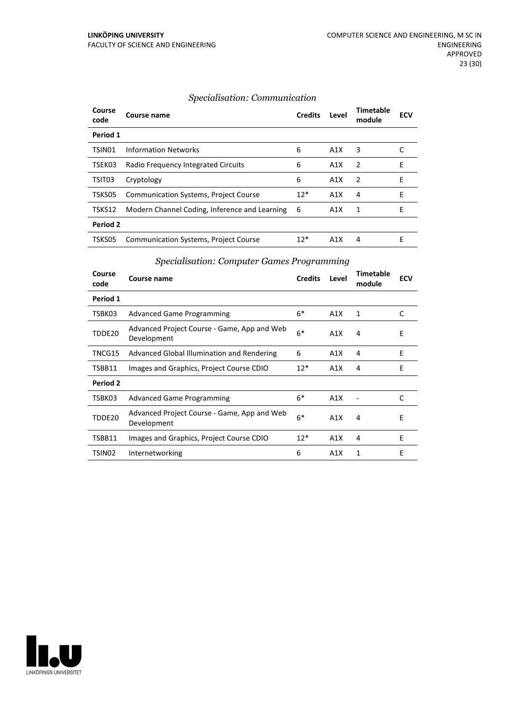#### *Specialisation: Communication*

| Course<br>code  | Course name                                   | <b>Credits</b> | Level            | <b>Timetable</b><br>module | <b>ECV</b> |
|-----------------|-----------------------------------------------|----------------|------------------|----------------------------|------------|
| Period 1        |                                               |                |                  |                            |            |
| TSIN01          | <b>Information Networks</b>                   | 6              | A1X              | 3                          |            |
| TSEK03          | Radio Frequency Integrated Circuits           | 6              | A1X              | 2                          | E          |
| TSIT03          | Cryptology                                    | 6              | A1X              | 2                          | Е          |
| TSKS05          | <b>Communication Systems, Project Course</b>  | $12*$          | A1X              | 4                          | F          |
| TSKS12          | Modern Channel Coding, Inference and Learning | - 6            | A1X              | 1                          | Е          |
| <b>Period 2</b> |                                               |                |                  |                            |            |
| TSKS05          | <b>Communication Systems, Project Course</b>  | $12*$          | A <sub>1</sub> X | 4                          | F          |

# *Specialisation: Computer Games Programming*

| Course<br>code | Course name                                                | <b>Credits</b> | Level | <b>Timetable</b><br>module | <b>ECV</b> |
|----------------|------------------------------------------------------------|----------------|-------|----------------------------|------------|
| Period 1       |                                                            |                |       |                            |            |
| TSBK03         | <b>Advanced Game Programming</b>                           | $6*$           | A1X   | 1                          | C          |
| TDDE20         | Advanced Project Course - Game, App and Web<br>Development | $6*$           | A1X   | 4                          | E          |
| TNCG15         | Advanced Global Illumination and Rendering                 | 6              | A1X   | 4                          | E          |
| TSBB11         | Images and Graphics, Project Course CDIO                   | $12*$          | A1X   | 4                          | F          |
| Period 2       |                                                            |                |       |                            |            |
| TSBK03         | <b>Advanced Game Programming</b>                           | $6*$           | A1X   |                            | C          |
| TDDE20         | Advanced Project Course - Game, App and Web<br>Development | $6*$           | A1X   | 4                          | E          |
| TSBB11         | Images and Graphics, Project Course CDIO                   | $12*$          | A1X   | 4                          | E          |
| TSIN02         | Internetworking                                            | 6              | A1X   | 1                          | E          |

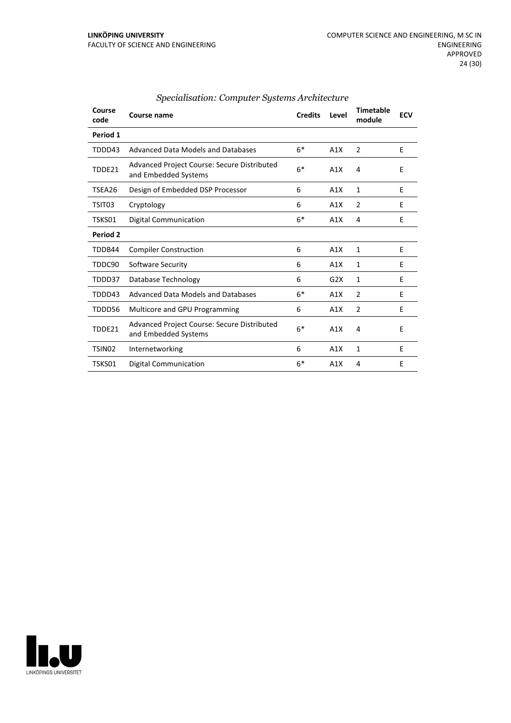| Course<br>code     | Course name                                                         | <b>Credits</b> | Level | <b>Timetable</b><br>module | <b>ECV</b> |
|--------------------|---------------------------------------------------------------------|----------------|-------|----------------------------|------------|
| Period 1           |                                                                     |                |       |                            |            |
| TDDD43             | Advanced Data Models and Databases                                  | $6*$           | A1X   | 2                          | E          |
| TDDE21             | Advanced Project Course: Secure Distributed<br>and Embedded Systems | $6*$           | A1X   | 4                          | E          |
| TSEA26             | Design of Embedded DSP Processor                                    | 6              | A1X   | $\mathbf{1}$               | E          |
| TSIT03             | Cryptology                                                          | 6              | A1X   | $\overline{2}$             | E          |
| TSKS01             | Digital Communication                                               | $6*$           | A1X   | 4                          | E          |
| Period 2           |                                                                     |                |       |                            |            |
| TDDB44             | <b>Compiler Construction</b>                                        | 6              | A1X   | 1                          | E          |
| TDDC90             | Software Security                                                   | 6              | A1X   | 1                          | E          |
| TDDD37             | Database Technology                                                 | 6              | G2X   | 1                          | E          |
| TDDD43             | Advanced Data Models and Databases                                  | $6*$           | A1X   | 2                          | Е          |
| TDDD56             | Multicore and GPU Programming                                       | 6              | A1X   | $\overline{2}$             | E          |
| TDDE21             | Advanced Project Course: Secure Distributed<br>and Embedded Systems | $6*$           | A1X   | 4                          | E          |
| TSIN <sub>02</sub> | Internetworking                                                     | 6              | A1X   | $\mathbf{1}$               | E          |
| TSKS01             | Digital Communication                                               | $6*$           | A1X   | 4                          | E          |

# *Specialisation: Computer Systems Architecture*

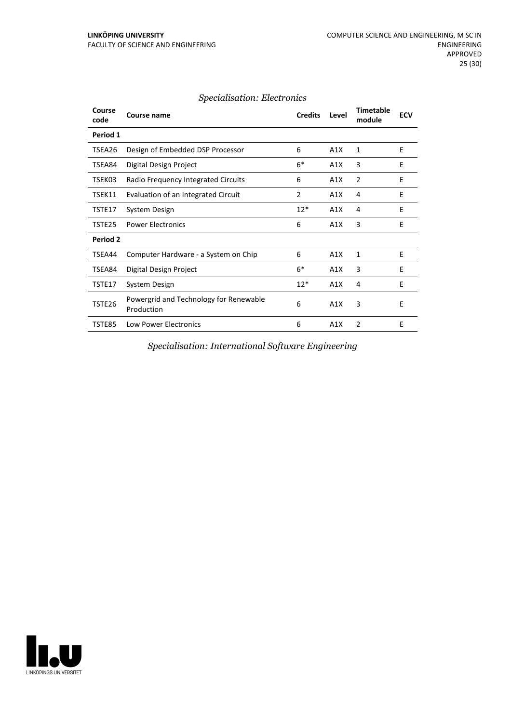| Course<br>code | Course name                                          | <b>Credits</b> | Level | Timetable<br>module | <b>ECV</b> |
|----------------|------------------------------------------------------|----------------|-------|---------------------|------------|
| Period 1       |                                                      |                |       |                     |            |
| TSEA26         | Design of Embedded DSP Processor                     | 6              | A1X   | 1                   | E          |
| TSEA84         | Digital Design Project                               | $6*$           | A1X   | 3                   | E          |
| TSEK03         | Radio Frequency Integrated Circuits                  | 6              | A1X   | $\overline{2}$      | E          |
| TSEK11         | Evaluation of an Integrated Circuit                  | $\overline{2}$ | A1X   | 4                   | E          |
| TSTE17         | System Design                                        | $12*$          | A1X   | 4                   | E          |
| TSTE25         | <b>Power Electronics</b>                             | 6              | A1X   | 3                   | E          |
| Period 2       |                                                      |                |       |                     |            |
| TSEA44         | Computer Hardware - a System on Chip                 | 6              | A1X   | 1                   | E          |
| TSEA84         | Digital Design Project                               | $6*$           | A1X   | 3                   | E          |
| TSTE17         | System Design                                        | $12*$          | A1X   | 4                   | E          |
| TSTE26         | Powergrid and Technology for Renewable<br>Production | 6              | A1X   | 3                   | E          |
| TSTE85         | <b>Low Power Electronics</b>                         | 6              | A1X   | $\overline{2}$      | E          |

#### *Specialisation: Electronics*

*Specialisation: International Software Engineering*

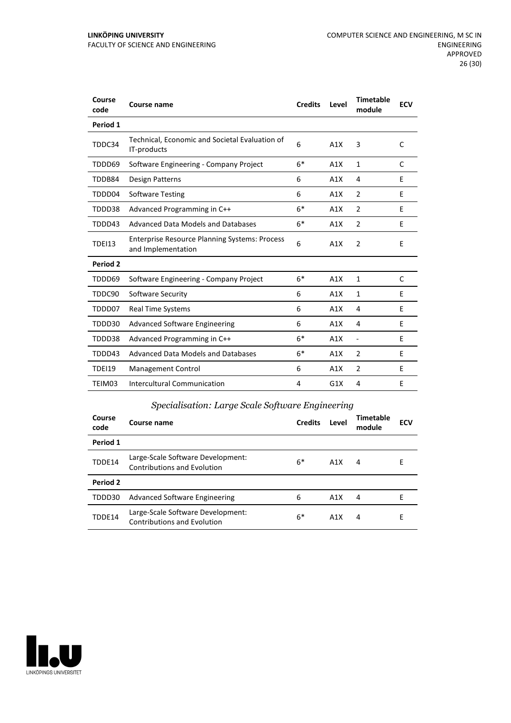| Course<br>code | Course name                                                                | <b>Credits</b> | Level | <b>Timetable</b><br>module | <b>ECV</b> |
|----------------|----------------------------------------------------------------------------|----------------|-------|----------------------------|------------|
| Period 1       |                                                                            |                |       |                            |            |
| TDDC34         | Technical, Economic and Societal Evaluation of<br>IT-products              | 6              | A1X   | 3                          | C          |
| TDDD69         | Software Engineering - Company Project                                     | $6*$           | A1X   | $\mathbf{1}$               | C          |
| TDDB84         | Design Patterns                                                            | 6              | A1X   | 4                          | E          |
| TDDD04         | <b>Software Testing</b>                                                    | 6              | A1X   | $\overline{2}$             | E          |
| TDDD38         | Advanced Programming in C++                                                | $6*$           | A1X   | 2                          | E          |
| TDDD43         | Advanced Data Models and Databases                                         | $6*$           | A1X   | 2                          | E          |
| <b>TDEI13</b>  | <b>Enterprise Resource Planning Systems: Process</b><br>and Implementation | 6              | A1X   | 2                          | E          |
| Period 2       |                                                                            |                |       |                            |            |
| TDDD69         | Software Engineering - Company Project                                     | $6*$           | A1X   | 1                          | C          |
| TDDC90         | Software Security                                                          | 6              | A1X   | 1                          | E          |
| TDDD07         | <b>Real Time Systems</b>                                                   | 6              | A1X   | 4                          | E          |
| TDDD30         | <b>Advanced Software Engineering</b>                                       | 6              | A1X   | 4                          | E          |
| TDDD38         | Advanced Programming in C++                                                | $6*$           | A1X   | $\overline{\phantom{a}}$   | E          |
| TDDD43         | Advanced Data Models and Databases                                         | $6*$           | A1X   | 2                          | E          |
| TDEI19         | Management Control                                                         | 6              | A1X   | $\overline{2}$             | E          |
| TEIM03         | <b>Intercultural Communication</b>                                         | 4              | G1X   | 4                          | E          |

# *Specialisation: Large Scale Software Engineering*

| Course<br>code | Course name                                                             | <b>Credits</b> | Level            | <b>Timetable</b><br>module | <b>ECV</b> |
|----------------|-------------------------------------------------------------------------|----------------|------------------|----------------------------|------------|
| Period 1       |                                                                         |                |                  |                            |            |
| TDDE14         | Large-Scale Software Development:<br><b>Contributions and Evolution</b> | $6*$           | A1X              | 4                          | Е          |
| Period 2       |                                                                         |                |                  |                            |            |
| TDDD30         | <b>Advanced Software Engineering</b>                                    | 6              | A1X              | 4                          | F          |
| TDDE14         | Large-Scale Software Development:<br><b>Contributions and Evolution</b> | $6*$           | A <sub>1</sub> X | 4                          | Е          |

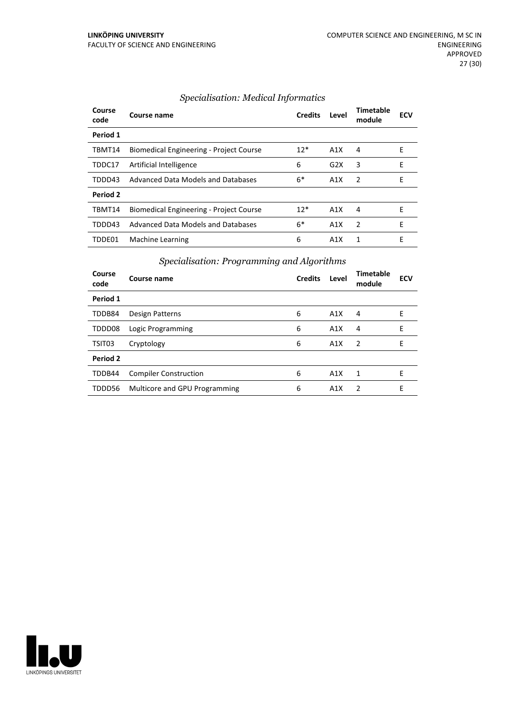| Course<br>code | Course name                                    | <b>Credits</b> | Level | <b>Timetable</b><br>module | <b>ECV</b> |
|----------------|------------------------------------------------|----------------|-------|----------------------------|------------|
| Period 1       |                                                |                |       |                            |            |
| TBMT14         | Biomedical Engineering - Project Course        | $12*$          | A1X   | 4                          | E          |
| TDDC17         | Artificial Intelligence                        | 6              | G2X   | 3                          | E          |
| TDDD43         | Advanced Data Models and Databases             | $6*$           | A1X   | $\mathcal{P}$              | F          |
| Period 2       |                                                |                |       |                            |            |
| TBMT14         | <b>Biomedical Engineering - Project Course</b> | $12*$          | A1X   | 4                          | F          |
| TDDD43         | Advanced Data Models and Databases             | 6*             | A1X   | $\mathcal{P}$              | E          |
| TDDE01         | Machine Learning                               | 6              | A1X   | 1                          | F          |

# *Specialisation: Medical Informatics*

# *Specialisation: Programming and Algorithms*

| Course<br>code | Course name                   | <b>Credits</b> | Level | Timetable<br>module | <b>ECV</b> |
|----------------|-------------------------------|----------------|-------|---------------------|------------|
| Period 1       |                               |                |       |                     |            |
| TDDB84         | Design Patterns               | 6              | A1X   | 4                   | Е          |
| TDDD08         | Logic Programming             | 6              | A1X   | 4                   | F          |
| TSIT03         | Cryptology                    | 6              | A1X   | $\overline{2}$      | E          |
| Period 2       |                               |                |       |                     |            |
| TDDB44         | <b>Compiler Construction</b>  | 6              | A1X   | 1                   | E          |
| TDDD56         | Multicore and GPU Programming | 6              | A1X   | $\overline{2}$      | E          |

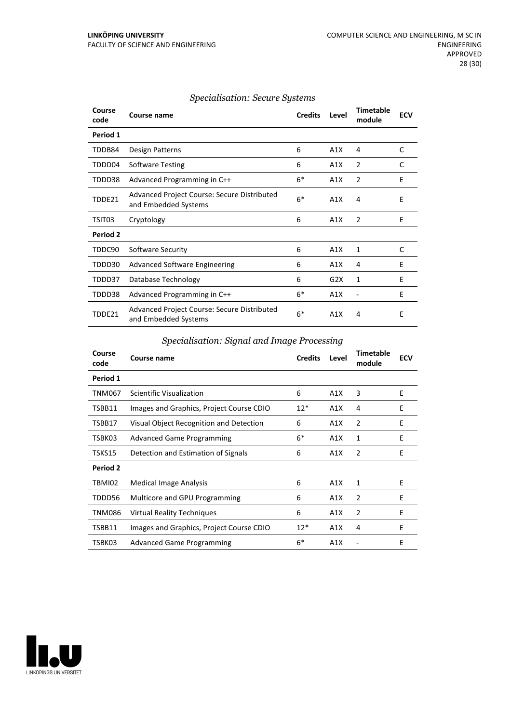| Course<br>code | Course name                                                         | <b>Credits</b> | Level | <b>Timetable</b><br>module | <b>ECV</b> |
|----------------|---------------------------------------------------------------------|----------------|-------|----------------------------|------------|
| Period 1       |                                                                     |                |       |                            |            |
| TDDB84         | Design Patterns                                                     | 6              | A1X   | 4                          | C          |
| TDDD04         | <b>Software Testing</b>                                             | 6              | A1X   | 2                          | C          |
| TDDD38         | Advanced Programming in C++                                         | $6*$           | A1X   | 2                          | E          |
| TDDE21         | Advanced Project Course: Secure Distributed<br>and Embedded Systems | $6*$           | A1X   | 4                          | E          |
| TSIT03         | Cryptology                                                          | 6              | A1X   | 2                          | E          |
| Period 2       |                                                                     |                |       |                            |            |
| TDDC90         | Software Security                                                   | 6              | A1X   | 1                          | C          |
| TDDD30         | <b>Advanced Software Engineering</b>                                | 6              | A1X   | 4                          | E          |
| TDDD37         | Database Technology                                                 | 6              | G2X   | 1                          | E          |
| TDDD38         | Advanced Programming in C++                                         | $6*$           | A1X   |                            | E          |
| TDDE21         | Advanced Project Course: Secure Distributed<br>and Embedded Systems | $6*$           | A1X   | 4                          | E          |

#### *Specialisation: Secure Systems*

# *Specialisation: Signal and Image Processing*

| Course<br>code | Course name                              | <b>Credits</b> | Level | <b>Timetable</b><br>module | <b>ECV</b> |
|----------------|------------------------------------------|----------------|-------|----------------------------|------------|
| Period 1       |                                          |                |       |                            |            |
| TNM067         | Scientific Visualization                 | 6              | A1X   | 3                          | E          |
| TSBB11         | Images and Graphics, Project Course CDIO | $12*$          | A1X   | 4                          | E          |
| TSBB17         | Visual Object Recognition and Detection  | 6              | A1X   | 2                          | E          |
| TSBK03         | <b>Advanced Game Programming</b>         | $6*$           | A1X   | 1                          | E          |
| TSKS15         | Detection and Estimation of Signals      | 6              | A1X   | 2                          | E          |
| Period 2       |                                          |                |       |                            |            |
| TBMI02         | Medical Image Analysis                   | 6              | A1X   | 1                          | E          |
| TDDD56         | Multicore and GPU Programming            | 6              | A1X   | 2                          | E          |
| <b>TNM086</b>  | <b>Virtual Reality Techniques</b>        | 6              | A1X   | $\overline{2}$             | E          |
| TSBB11         | Images and Graphics, Project Course CDIO | $12*$          | A1X   | 4                          | E          |
| TSBK03         | <b>Advanced Game Programming</b>         | $6*$           | A1X   |                            | E          |

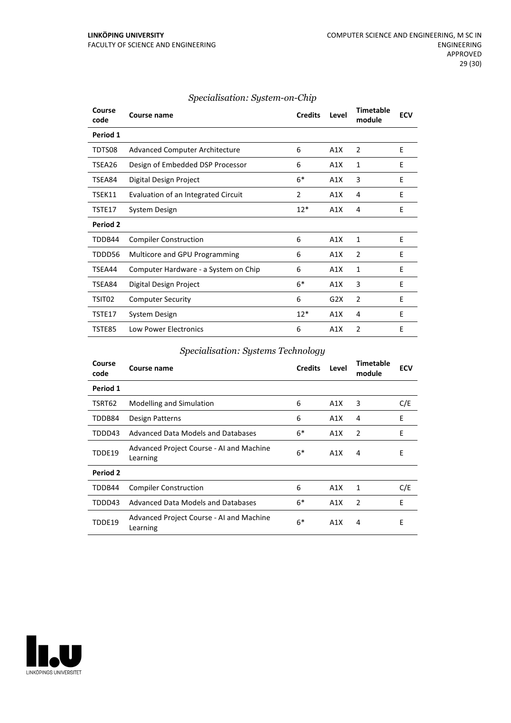| Course<br>code | <b>Course name</b>                    | <b>Credits</b> | Level | Timetable<br>module | <b>ECV</b> |
|----------------|---------------------------------------|----------------|-------|---------------------|------------|
| Period 1       |                                       |                |       |                     |            |
| TDTS08         | <b>Advanced Computer Architecture</b> | 6              | A1X   | $\overline{2}$      | E          |
| TSEA26         | Design of Embedded DSP Processor      | 6              | A1X   | 1                   | E          |
| TSEA84         | Digital Design Project                | $6*$           | A1X   | 3                   | E          |
| TSEK11         | Evaluation of an Integrated Circuit   | 2              | A1X   | 4                   | F          |
| TSTE17         | System Design                         | $12*$          | A1X   | 4                   | E          |
| Period 2       |                                       |                |       |                     |            |
| TDDB44         | <b>Compiler Construction</b>          | 6              | A1X   | 1                   | E          |
| TDDD56         | Multicore and GPU Programming         | 6              | A1X   | $\overline{2}$      | E          |
| TSEA44         | Computer Hardware - a System on Chip  | 6              | A1X   | $\mathbf{1}$        | F          |
| TSEA84         | Digital Design Project                | $6*$           | A1X   | 3                   | E          |
| TSIT02         | <b>Computer Security</b>              | 6              | G2X   | $\overline{2}$      | E          |
| TSTE17         | System Design                         | $12*$          | A1X   | 4                   | E          |
| TSTE85         | Low Power Electronics                 | 6              | A1X   | $\overline{2}$      | E          |

# *Specialisation: System-on-Chip*

# *Specialisation: Systems Technology*

| Course<br>code | Course name                                          | <b>Credits</b> | Level | <b>Timetable</b><br>module | <b>ECV</b> |
|----------------|------------------------------------------------------|----------------|-------|----------------------------|------------|
| Period 1       |                                                      |                |       |                            |            |
| TSRT62         | Modelling and Simulation                             | 6              | A1X   | 3                          | C/E        |
| TDDB84         | Design Patterns                                      | 6              | A1X   | 4                          | E          |
| TDDD43         | Advanced Data Models and Databases                   | $6*$           | A1X   | 2                          | Ε          |
| TDDE19         | Advanced Project Course - AI and Machine<br>Learning | $6*$           | A1X   | 4                          | E          |
| Period 2       |                                                      |                |       |                            |            |
| TDDB44         | <b>Compiler Construction</b>                         | 6              | A1X   | 1                          | C/E        |
| TDDD43         | Advanced Data Models and Databases                   | $6*$           | A1X   | 2                          | E          |
| TDDE19         | Advanced Project Course - AI and Machine<br>Learning | $6*$           | A1X   | 4                          | Ε          |